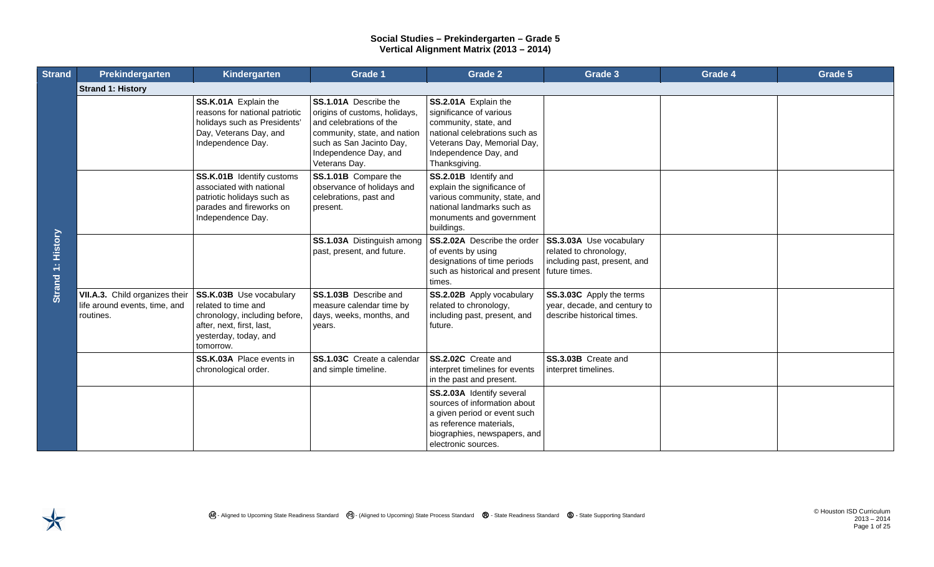| <b>Strand</b>     | Prekindergarten                                                              | Kindergarten                                                                                                                                       | Grade 1                                                                                                                                                                                 | <b>Grade 2</b>                                                                                                                                                                     | Grade 3                                                                                | Grade 4 | Grade 5 |
|-------------------|------------------------------------------------------------------------------|----------------------------------------------------------------------------------------------------------------------------------------------------|-----------------------------------------------------------------------------------------------------------------------------------------------------------------------------------------|------------------------------------------------------------------------------------------------------------------------------------------------------------------------------------|----------------------------------------------------------------------------------------|---------|---------|
| Strand 1: History | <b>Strand 1: History</b>                                                     |                                                                                                                                                    |                                                                                                                                                                                         |                                                                                                                                                                                    |                                                                                        |         |         |
|                   |                                                                              | SS.K.01A Explain the<br>reasons for national patriotic<br>holidays such as Presidents'<br>Day, Veterans Day, and<br>Independence Day.              | SS.1.01A Describe the<br>origins of customs, holidays,<br>and celebrations of the<br>community, state, and nation<br>such as San Jacinto Day,<br>Independence Day, and<br>Veterans Day. | SS.2.01A Explain the<br>significance of various<br>community, state, and<br>national celebrations such as<br>Veterans Day, Memorial Day,<br>Independence Day, and<br>Thanksgiving. |                                                                                        |         |         |
|                   |                                                                              | SS.K.01B Identify customs<br>associated with national<br>patriotic holidays such as<br>parades and fireworks on<br>Independence Day.               | SS.1.01B Compare the<br>observance of holidays and<br>celebrations, past and<br>present.                                                                                                | SS.2.01B Identify and<br>explain the significance of<br>various community, state, and<br>national landmarks such as<br>monuments and government<br>buildings.                      |                                                                                        |         |         |
|                   |                                                                              |                                                                                                                                                    | SS.1.03A Distinguish among<br>past, present, and future.                                                                                                                                | SS.2.02A Describe the order<br>of events by using<br>designations of time periods<br>such as historical and present   future times.<br>times.                                      | SS.3.03A Use vocabulary<br>related to chronology,<br>including past, present, and      |         |         |
|                   | VII.A.3. Child organizes their<br>life around events, time, and<br>routines. | SS.K.03B Use vocabulary<br>related to time and<br>chronology, including before,<br>after, next, first, last,<br>yesterday, today, and<br>tomorrow. | SS.1.03B Describe and<br>measure calendar time by<br>days, weeks, months, and<br>years.                                                                                                 | SS.2.02B Apply vocabulary<br>related to chronology,<br>including past, present, and<br>future.                                                                                     | SS.3.03C Apply the terms<br>year, decade, and century to<br>describe historical times. |         |         |
|                   |                                                                              | SS.K.03A Place events in<br>chronological order.                                                                                                   | SS.1.03C Create a calendar<br>and simple timeline.                                                                                                                                      | SS.2.02C Create and<br>interpret timelines for events<br>in the past and present.                                                                                                  | SS.3.03B Create and<br>interpret timelines.                                            |         |         |
|                   |                                                                              |                                                                                                                                                    |                                                                                                                                                                                         | SS.2.03A Identify several<br>sources of information about<br>a given period or event such<br>as reference materials,<br>biographies, newspapers, and<br>electronic sources.        |                                                                                        |         |         |

2013 – 2014 Page 1 of 25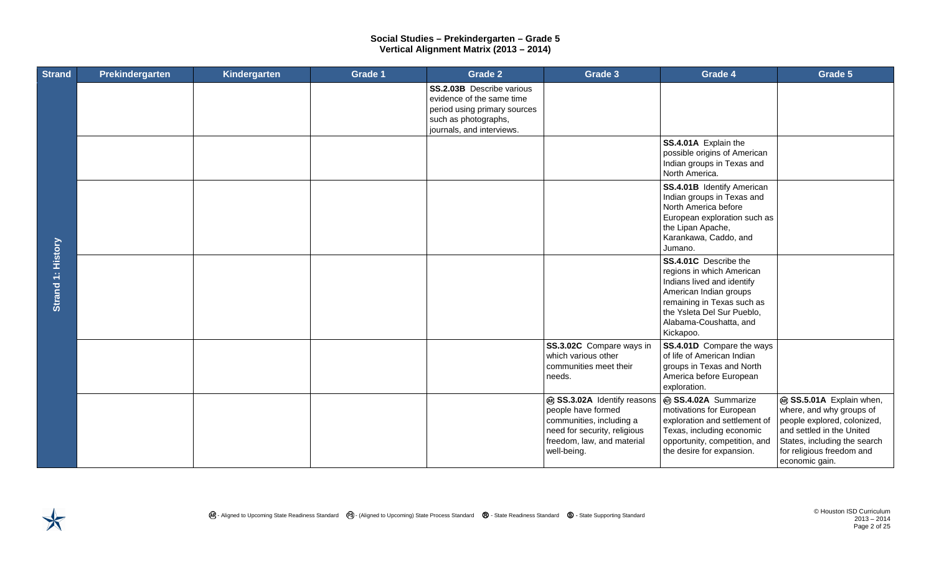| <b>Strand</b>     | Prekindergarten | Kindergarten | Grade 1 | <b>Grade 2</b>                                                                                                                                     | Grade 3                                                                                                                                                    | Grade 4                                                                                                                                                                                                       | Grade 5                                                                                                                                                                                         |
|-------------------|-----------------|--------------|---------|----------------------------------------------------------------------------------------------------------------------------------------------------|------------------------------------------------------------------------------------------------------------------------------------------------------------|---------------------------------------------------------------------------------------------------------------------------------------------------------------------------------------------------------------|-------------------------------------------------------------------------------------------------------------------------------------------------------------------------------------------------|
| Strand 1: History |                 |              |         | <b>SS.2.03B</b> Describe various<br>evidence of the same time<br>period using primary sources<br>such as photographs,<br>journals, and interviews. |                                                                                                                                                            |                                                                                                                                                                                                               |                                                                                                                                                                                                 |
|                   |                 |              |         |                                                                                                                                                    |                                                                                                                                                            | SS.4.01A Explain the<br>possible origins of American<br>Indian groups in Texas and<br>North America.                                                                                                          |                                                                                                                                                                                                 |
|                   |                 |              |         |                                                                                                                                                    |                                                                                                                                                            | <b>SS.4.01B</b> Identify American<br>Indian groups in Texas and<br>North America before<br>European exploration such as<br>the Lipan Apache,<br>Karankawa, Caddo, and<br>Jumano.                              |                                                                                                                                                                                                 |
|                   |                 |              |         |                                                                                                                                                    |                                                                                                                                                            | SS.4.01C Describe the<br>regions in which American<br>Indians lived and identify<br>American Indian groups<br>remaining in Texas such as<br>the Ysleta Del Sur Pueblo,<br>Alabama-Coushatta, and<br>Kickapoo. |                                                                                                                                                                                                 |
|                   |                 |              |         |                                                                                                                                                    | SS.3.02C Compare ways in<br>which various other<br>communities meet their<br>needs.                                                                        | <b>SS.4.01D</b> Compare the ways<br>of life of American Indian<br>groups in Texas and North<br>America before European<br>exploration.                                                                        |                                                                                                                                                                                                 |
|                   |                 |              |         |                                                                                                                                                    | @ SS.3.02A Identify reasons<br>people have formed<br>communities, including a<br>need for security, religious<br>freedom, law, and material<br>well-being. | @ SS.4.02A Summarize<br>motivations for European<br>exploration and settlement of<br>Texas, including economic<br>opportunity, competition, and<br>the desire for expansion.                                  | @ SS.5.01A Explain when,<br>where, and why groups of<br>people explored, colonized,<br>and settled in the United<br>States, including the search<br>for religious freedom and<br>economic gain. |

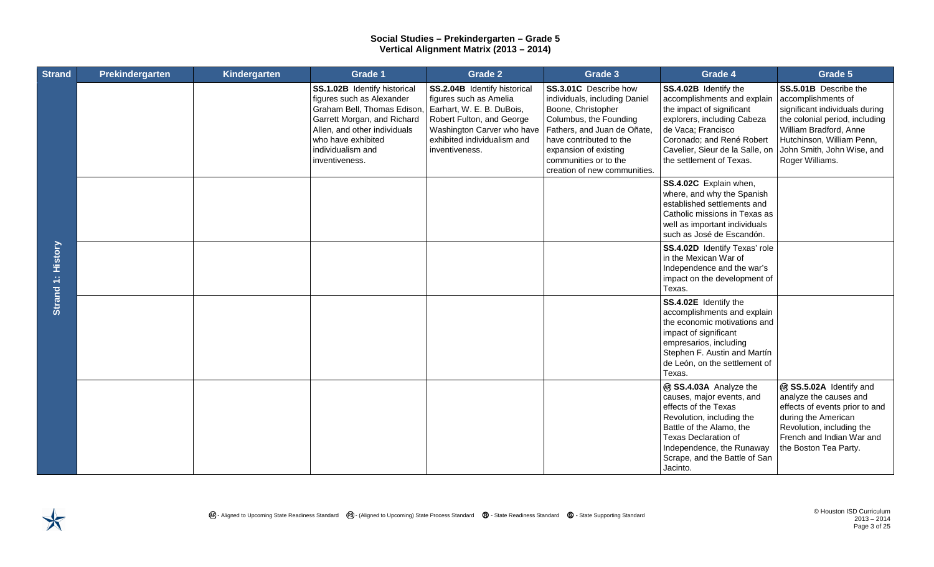| <b>Strand</b>     | Prekindergarten | Kindergarten | Grade 1                                                                                                                                                                                                             | Grade 2                                                                                                                                                                                         | Grade 3                                                                                                                                                                                                                                            | Grade 4                                                                                                                                                                                                                                       | Grade 5                                                                                                                                                                                                                 |
|-------------------|-----------------|--------------|---------------------------------------------------------------------------------------------------------------------------------------------------------------------------------------------------------------------|-------------------------------------------------------------------------------------------------------------------------------------------------------------------------------------------------|----------------------------------------------------------------------------------------------------------------------------------------------------------------------------------------------------------------------------------------------------|-----------------------------------------------------------------------------------------------------------------------------------------------------------------------------------------------------------------------------------------------|-------------------------------------------------------------------------------------------------------------------------------------------------------------------------------------------------------------------------|
| Strand 1: History |                 |              | SS.1.02B Identify historical<br>figures such as Alexander<br>Graham Bell, Thomas Edison<br>Garrett Morgan, and Richard<br>Allen, and other individuals<br>who have exhibited<br>individualism and<br>inventiveness. | SS.2.04B Identify historical<br>figures such as Amelia<br>Earhart, W. E. B. DuBois,<br>Robert Fulton, and George<br>Washington Carver who have<br>exhibited individualism and<br>inventiveness. | SS.3.01C Describe how<br>individuals, including Daniel<br>Boone, Christopher<br>Columbus, the Founding<br>Fathers, and Juan de Oñate,<br>have contributed to the<br>expansion of existing<br>communities or to the<br>creation of new communities. | SS.4.02B Identify the<br>accomplishments and explain<br>the impact of significant<br>explorers, including Cabeza<br>de Vaca; Francisco<br>Coronado; and René Robert<br>Cavelier, Sieur de la Salle, on<br>the settlement of Texas.            | SS.5.01B Describe the<br>accomplishments of<br>significant individuals during<br>the colonial period, including<br>William Bradford, Anne<br>Hutchinson, William Penn,<br>John Smith, John Wise, and<br>Roger Williams. |
|                   |                 |              |                                                                                                                                                                                                                     |                                                                                                                                                                                                 |                                                                                                                                                                                                                                                    | SS.4.02C Explain when,<br>where, and why the Spanish<br>established settlements and<br>Catholic missions in Texas as<br>well as important individuals<br>such as José de Escandón.                                                            |                                                                                                                                                                                                                         |
|                   |                 |              |                                                                                                                                                                                                                     |                                                                                                                                                                                                 |                                                                                                                                                                                                                                                    | SS.4.02D Identify Texas' role<br>in the Mexican War of<br>Independence and the war's<br>impact on the development of<br>Texas.                                                                                                                |                                                                                                                                                                                                                         |
|                   |                 |              |                                                                                                                                                                                                                     |                                                                                                                                                                                                 |                                                                                                                                                                                                                                                    | SS.4.02E Identify the<br>accomplishments and explain<br>the economic motivations and<br>impact of significant<br>empresarios, including<br>Stephen F. Austin and Martín<br>de León, on the settlement of<br>Texas.                            |                                                                                                                                                                                                                         |
|                   |                 |              |                                                                                                                                                                                                                     |                                                                                                                                                                                                 |                                                                                                                                                                                                                                                    | @ SS.4.03A Analyze the<br>causes, major events, and<br>effects of the Texas<br>Revolution, including the<br>Battle of the Alamo, the<br><b>Texas Declaration of</b><br>Independence, the Runaway<br>Scrape, and the Battle of San<br>Jacinto. | ® SS.5.02A Identify and<br>analyze the causes and<br>effects of events prior to and<br>during the American<br>Revolution, including the<br>French and Indian War and<br>the Boston Tea Party.                           |

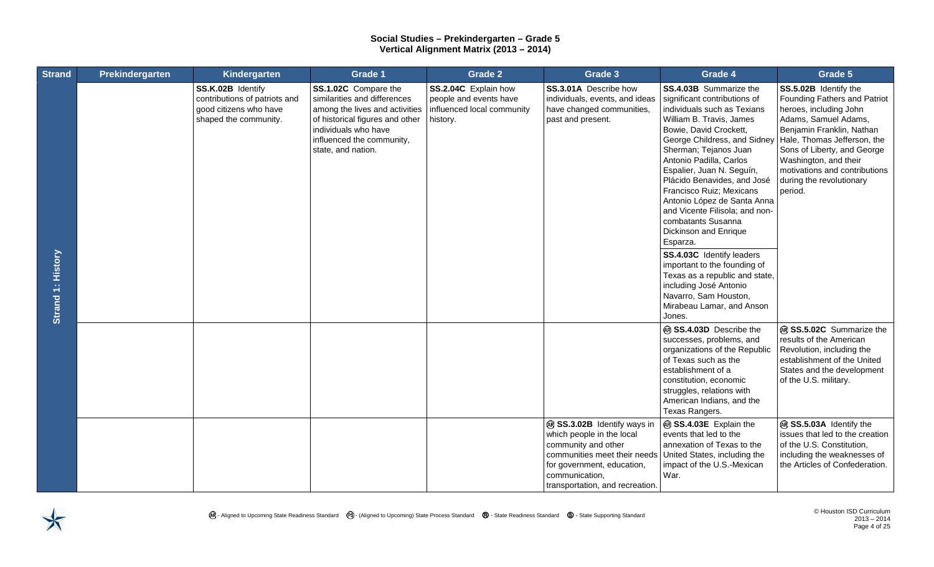| <b>Strand</b>     | Prekindergarten | Kindergarten                                                                                          | <b>Grade 1</b>                                                                                                                                                                                       | <b>Grade 2</b>                                                                           | Grade 3                                                                                                                                                                                            | Grade 4                                                                                                                                                                                                                                                                                                                                                                                                                                                                                                                                                                                                                                      | Grade 5                                                                                                                                                                                                                                                                                             |
|-------------------|-----------------|-------------------------------------------------------------------------------------------------------|------------------------------------------------------------------------------------------------------------------------------------------------------------------------------------------------------|------------------------------------------------------------------------------------------|----------------------------------------------------------------------------------------------------------------------------------------------------------------------------------------------------|----------------------------------------------------------------------------------------------------------------------------------------------------------------------------------------------------------------------------------------------------------------------------------------------------------------------------------------------------------------------------------------------------------------------------------------------------------------------------------------------------------------------------------------------------------------------------------------------------------------------------------------------|-----------------------------------------------------------------------------------------------------------------------------------------------------------------------------------------------------------------------------------------------------------------------------------------------------|
| Strand 1: History |                 | SS.K.02B Identify<br>contributions of patriots and<br>good citizens who have<br>shaped the community. | SS.1.02C Compare the<br>similarities and differences<br>among the lives and activities<br>of historical figures and other<br>individuals who have<br>influenced the community,<br>state, and nation. | SS.2.04C Explain how<br>people and events have<br>influenced local community<br>history. | SS.3.01A Describe how<br>individuals, events, and ideas<br>have changed communities,<br>past and present.                                                                                          | SS.4.03B Summarize the<br>significant contributions of<br>individuals such as Texians<br>William B. Travis, James<br>Bowie, David Crockett,<br>George Childress, and Sidney<br>Sherman; Tejanos Juan<br>Antonio Padilla, Carlos<br>Espalier, Juan N. Seguín,<br>Plácido Benavides, and José<br>Francisco Ruiz; Mexicans<br>Antonio López de Santa Anna<br>and Vicente Filisola; and non-<br>combatants Susanna<br>Dickinson and Enrique<br>Esparza.<br>SS.4.03C Identify leaders<br>important to the founding of<br>Texas as a republic and state,<br>including José Antonio<br>Navarro, Sam Houston,<br>Mirabeau Lamar, and Anson<br>Jones. | SS.5.02B Identify the<br>Founding Fathers and Patriot<br>heroes, including John<br>Adams, Samuel Adams,<br>Benjamin Franklin, Nathan<br>Hale, Thomas Jefferson, the<br>Sons of Liberty, and George<br>Washington, and their<br>motivations and contributions<br>during the revolutionary<br>period. |
|                   |                 |                                                                                                       |                                                                                                                                                                                                      |                                                                                          |                                                                                                                                                                                                    | @ SS.4.03D Describe the<br>successes, problems, and<br>organizations of the Republic<br>of Texas such as the<br>establishment of a<br>constitution, economic<br>struggles, relations with<br>American Indians, and the<br>Texas Rangers.                                                                                                                                                                                                                                                                                                                                                                                                     | @ SS.5.02C Summarize the<br>results of the American<br>Revolution, including the<br>establishment of the United<br>States and the development<br>of the U.S. military.                                                                                                                              |
|                   |                 |                                                                                                       |                                                                                                                                                                                                      |                                                                                          | @ SS.3.02B Identify ways in<br>which people in the local<br>community and other<br>communities meet their needs<br>for government, education,<br>communication,<br>transportation, and recreation. | @ SS.4.03E Explain the<br>events that led to the<br>annexation of Texas to the<br>United States, including the<br>impact of the U.S.-Mexican<br>War.                                                                                                                                                                                                                                                                                                                                                                                                                                                                                         | @ SS.5.03A Identify the<br>issues that led to the creation<br>of the U.S. Constitution,<br>including the weaknesses of<br>the Articles of Confederation.                                                                                                                                            |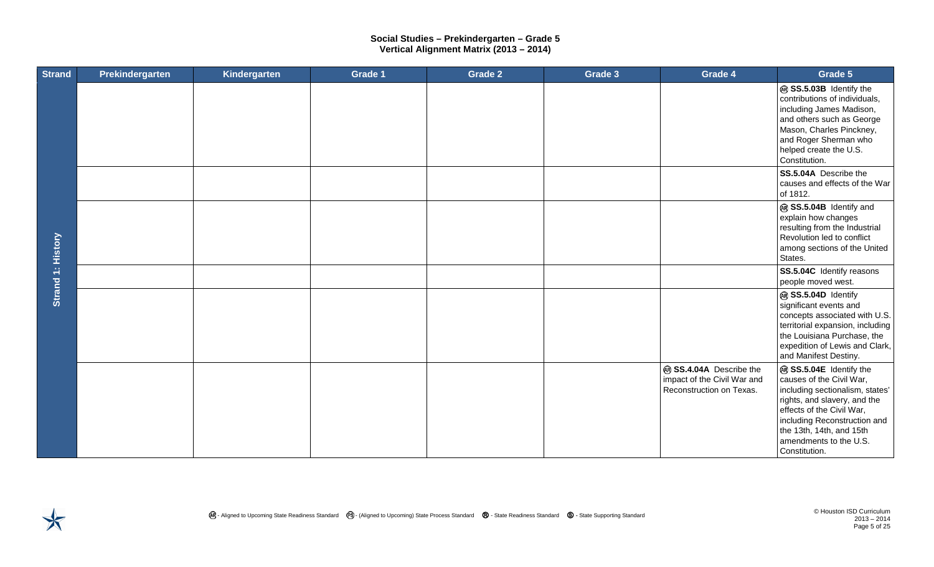| <b>Strand</b>            | Prekindergarten | Kindergarten | Grade 1 | <b>Grade 2</b> | Grade 3 | Grade 4                                                                            | Grade 5                                                                                                                                                                                                                                                    |
|--------------------------|-----------------|--------------|---------|----------------|---------|------------------------------------------------------------------------------------|------------------------------------------------------------------------------------------------------------------------------------------------------------------------------------------------------------------------------------------------------------|
|                          |                 |              |         |                |         |                                                                                    | @ SS.5.03B Identify the<br>contributions of individuals,<br>including James Madison,<br>and others such as George<br>Mason, Charles Pinckney,<br>and Roger Sherman who<br>helped create the U.S.<br>Constitution.                                          |
|                          |                 |              |         |                |         |                                                                                    | SS.5.04A Describe the<br>causes and effects of the War<br>of 1812.                                                                                                                                                                                         |
| <b>Strand 1: History</b> |                 |              |         |                |         |                                                                                    | @ SS.5.04B Identify and<br>explain how changes<br>resulting from the Industrial<br>Revolution led to conflict<br>among sections of the United<br>States.                                                                                                   |
|                          |                 |              |         |                |         |                                                                                    | SS.5.04C Identify reasons<br>people moved west.                                                                                                                                                                                                            |
|                          |                 |              |         |                |         |                                                                                    | @ SS.5.04D Identify<br>significant events and<br>concepts associated with U.S.<br>territorial expansion, including<br>the Louisiana Purchase, the<br>expedition of Lewis and Clark,<br>and Manifest Destiny.                                               |
|                          |                 |              |         |                |         | ® SS.4.04A Describe the<br>impact of the Civil War and<br>Reconstruction on Texas. | @ SS.5.04E Identify the<br>causes of the Civil War,<br>including sectionalism, states'<br>rights, and slavery, and the<br>effects of the Civil War,<br>including Reconstruction and<br>the 13th, 14th, and 15th<br>amendments to the U.S.<br>Constitution. |

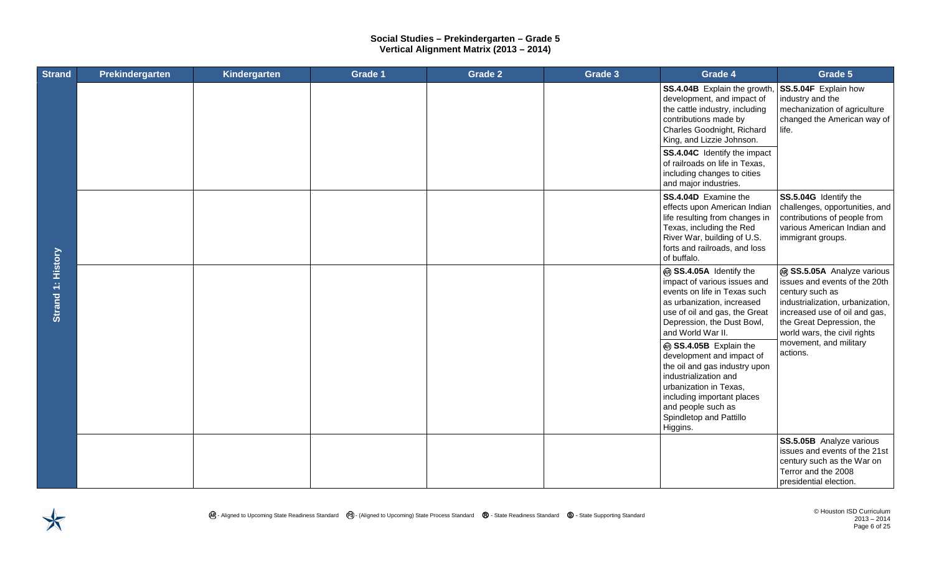| <b>Strand</b>     | Prekindergarten | Kindergarten | Grade 1 | <b>Grade 2</b> | Grade 3 | Grade 4                                                                                                                                                                                                                            | Grade 5                                                                                                                                                                                                          |
|-------------------|-----------------|--------------|---------|----------------|---------|------------------------------------------------------------------------------------------------------------------------------------------------------------------------------------------------------------------------------------|------------------------------------------------------------------------------------------------------------------------------------------------------------------------------------------------------------------|
|                   |                 |              |         |                |         | SS.4.04B Explain the growth<br>development, and impact of<br>the cattle industry, including<br>contributions made by<br>Charles Goodnight, Richard<br>King, and Lizzie Johnson.                                                    | SS.5.04F Explain how<br>industry and the<br>mechanization of agriculture<br>changed the American way of<br>life.                                                                                                 |
|                   |                 |              |         |                |         | SS.4.04C Identify the impact<br>of railroads on life in Texas,<br>including changes to cities<br>and major industries.                                                                                                             |                                                                                                                                                                                                                  |
|                   |                 |              |         |                |         | SS.4.04D Examine the<br>effects upon American Indian<br>life resulting from changes in<br>Texas, including the Red<br>River War, building of U.S.<br>forts and railroads, and loss<br>of buffalo.                                  | SS.5.04G Identify the<br>challenges, opportunities, and<br>contributions of people from<br>various American Indian and<br>immigrant groups.                                                                      |
| Strand 1: History |                 |              |         |                |         | @ SS.4.05A Identify the<br>impact of various issues and<br>events on life in Texas such<br>as urbanization, increased<br>use of oil and gas, the Great<br>Depression, the Dust Bowl,<br>and World War II.                          | @ SS.5.05A Analyze various<br>issues and events of the 20th<br>century such as<br>industrialization, urbanization,<br>increased use of oil and gas,<br>the Great Depression, the<br>world wars, the civil rights |
|                   |                 |              |         |                |         | @ SS.4.05B Explain the<br>development and impact of<br>the oil and gas industry upon<br>industrialization and<br>urbanization in Texas,<br>including important places<br>and people such as<br>Spindletop and Pattillo<br>Higgins. | movement, and military<br>actions.                                                                                                                                                                               |
|                   |                 |              |         |                |         |                                                                                                                                                                                                                                    | SS.5.05B Analyze various<br>issues and events of the 21st<br>century such as the War on<br>Terror and the 2008<br>presidential election.                                                                         |

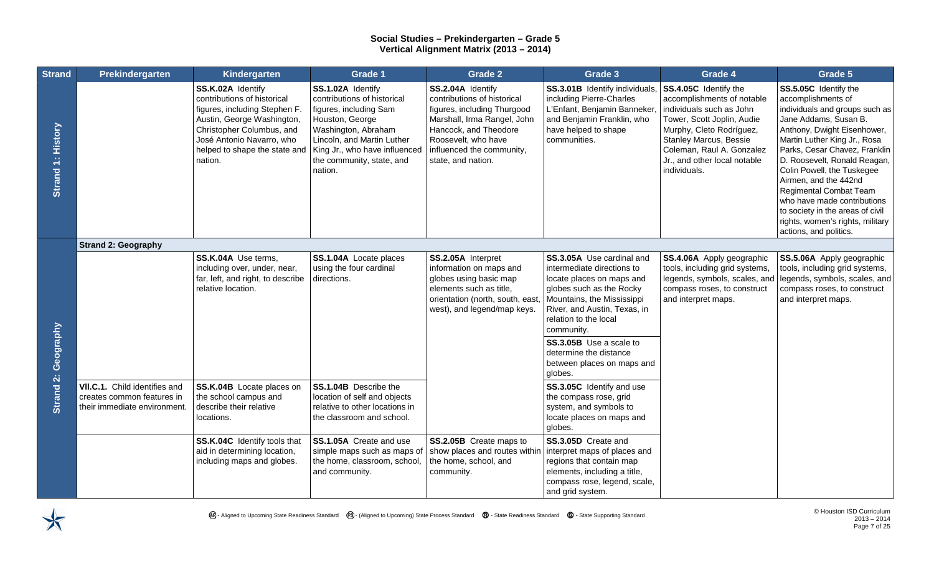| <b>Strand</b>       | Prekindergarten                                             | Kindergarten                                                                                                                                                                                                          | Grade 1                                                                                                                                                                                                                     | <b>Grade 2</b>                                                                                                                                                                                                    | Grade 3                                                                                                                                                                                                                                                                                                                                                                    | Grade 4                                                                                                                                                                                                                                                 | Grade 5                                                                                                                                                                                                                                                                                                                                                                                                                                                         |
|---------------------|-------------------------------------------------------------|-----------------------------------------------------------------------------------------------------------------------------------------------------------------------------------------------------------------------|-----------------------------------------------------------------------------------------------------------------------------------------------------------------------------------------------------------------------------|-------------------------------------------------------------------------------------------------------------------------------------------------------------------------------------------------------------------|----------------------------------------------------------------------------------------------------------------------------------------------------------------------------------------------------------------------------------------------------------------------------------------------------------------------------------------------------------------------------|---------------------------------------------------------------------------------------------------------------------------------------------------------------------------------------------------------------------------------------------------------|-----------------------------------------------------------------------------------------------------------------------------------------------------------------------------------------------------------------------------------------------------------------------------------------------------------------------------------------------------------------------------------------------------------------------------------------------------------------|
| Strand 1: History   |                                                             | SS.K.02A Identify<br>contributions of historical<br>figures, including Stephen F.<br>Austin, George Washington,<br>Christopher Columbus, and<br>José Antonio Navarro, who<br>helped to shape the state and<br>nation. | SS.1.02A Identify<br>contributions of historical<br>figures, including Sam<br>Houston, George<br>Washington, Abraham<br>Lincoln, and Martin Luther<br>King Jr., who have influenced<br>the community, state, and<br>nation. | SS.2.04A Identify<br>contributions of historical<br>figures, including Thurgood<br>Marshall, Irma Rangel, John<br>Hancock, and Theodore<br>Roosevelt, who have<br>influenced the community,<br>state, and nation. | SS.3.01B Identify individuals,<br>including Pierre-Charles<br>L'Enfant, Benjamin Banneker,<br>and Benjamin Franklin, who<br>have helped to shape<br>communities.                                                                                                                                                                                                           | SS.4.05C Identify the<br>accomplishments of notable<br>individuals such as John<br>Tower, Scott Joplin, Audie<br>Murphy, Cleto Rodríguez,<br><b>Stanley Marcus, Bessie</b><br>Coleman, Raul A. Gonzalez<br>Jr., and other local notable<br>individuals. | SS.5.05C Identify the<br>accomplishments of<br>individuals and groups such as<br>Jane Addams, Susan B.<br>Anthony, Dwight Eisenhower,<br>Martin Luther King Jr., Rosa<br>Parks, Cesar Chavez, Franklin<br>D. Roosevelt, Ronald Reagan,<br>Colin Powell, the Tuskegee<br>Airmen, and the 442nd<br><b>Regimental Combat Team</b><br>who have made contributions<br>to society in the areas of civil<br>rights, women's rights, military<br>actions, and politics. |
|                     | <b>Strand 2: Geography</b>                                  |                                                                                                                                                                                                                       |                                                                                                                                                                                                                             |                                                                                                                                                                                                                   |                                                                                                                                                                                                                                                                                                                                                                            |                                                                                                                                                                                                                                                         |                                                                                                                                                                                                                                                                                                                                                                                                                                                                 |
| Strand 2: Geography | VII.C.1. Child identifies and<br>creates common features in | SS.K.04A Use terms,<br>including over, under, near,<br>far, left, and right, to describe<br>relative location.<br>SS.K.04B Locate places on<br>the school campus and                                                  | SS.1.04A Locate places<br>using the four cardinal<br>directions.<br>SS.1.04B Describe the<br>location of self and objects                                                                                                   | SS.2.05A Interpret<br>information on maps and<br>globes using basic map<br>elements such as title,<br>orientation (north, south, east<br>west), and legend/map keys.                                              | SS.3.05A Use cardinal and<br>intermediate directions to<br>locate places on maps and<br>globes such as the Rocky<br>Mountains, the Mississippi<br>River, and Austin, Texas, in<br>relation to the local<br>community.<br>SS.3.05B Use a scale to<br>determine the distance<br>between places on maps and<br>globes.<br>SS.3.05C Identify and use<br>the compass rose, grid | SS.4.06A Apply geographic<br>tools, including grid systems,<br>legends, symbols, scales, and<br>compass roses, to construct<br>and interpret maps.                                                                                                      | SS.5.06A Apply geographic<br>tools, including grid systems,<br>legends, symbols, scales, and<br>compass roses, to construct<br>and interpret maps.                                                                                                                                                                                                                                                                                                              |
|                     | their immediate environment.                                | describe their relative<br>locations.                                                                                                                                                                                 | relative to other locations in<br>the classroom and school.                                                                                                                                                                 |                                                                                                                                                                                                                   | system, and symbols to<br>locate places on maps and<br>globes.                                                                                                                                                                                                                                                                                                             |                                                                                                                                                                                                                                                         |                                                                                                                                                                                                                                                                                                                                                                                                                                                                 |
|                     |                                                             | SS.K.04C Identify tools that<br>aid in determining location,<br>including maps and globes.                                                                                                                            | SS.1.05A Create and use<br>simple maps such as maps of<br>the home, classroom, school,<br>and community.                                                                                                                    | SS.2.05B Create maps to<br>show places and routes within interpret maps of places and<br>the home, school, and<br>community.                                                                                      | SS.3.05D Create and<br>regions that contain map<br>elements, including a title,<br>compass rose, legend, scale,<br>and grid system.                                                                                                                                                                                                                                        |                                                                                                                                                                                                                                                         |                                                                                                                                                                                                                                                                                                                                                                                                                                                                 |

 $\bigtimes$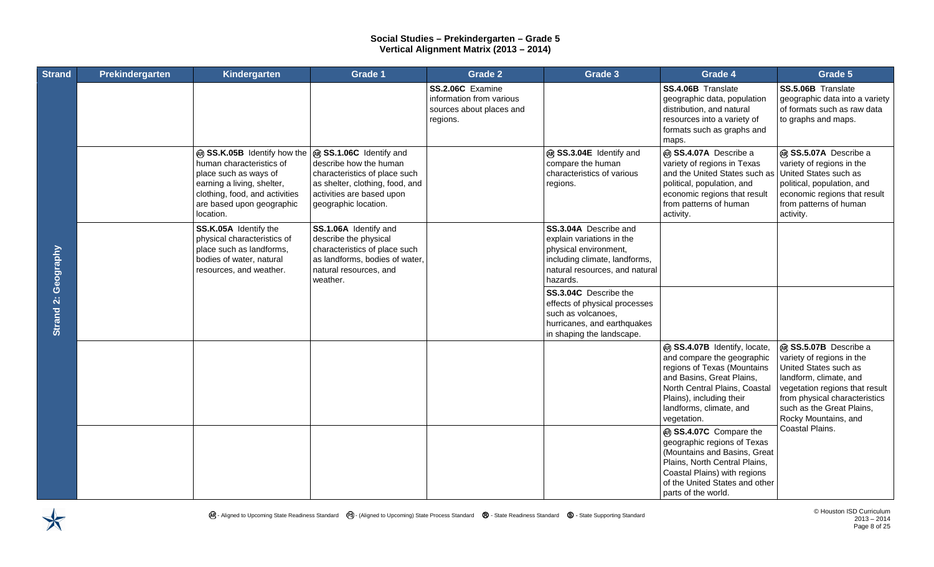| <b>Strand</b>              | Prekindergarten | Kindergarten                                                                                                                                                                                                       | Grade 1                                                                                                                                                 | <b>Grade 2</b>                                                                       | Grade 3                                                                                                                                                    | Grade 4                                                                                                                                                                                                                       | Grade 5                                                                                                                                                                                                                       |
|----------------------------|-----------------|--------------------------------------------------------------------------------------------------------------------------------------------------------------------------------------------------------------------|---------------------------------------------------------------------------------------------------------------------------------------------------------|--------------------------------------------------------------------------------------|------------------------------------------------------------------------------------------------------------------------------------------------------------|-------------------------------------------------------------------------------------------------------------------------------------------------------------------------------------------------------------------------------|-------------------------------------------------------------------------------------------------------------------------------------------------------------------------------------------------------------------------------|
|                            |                 |                                                                                                                                                                                                                    |                                                                                                                                                         | SS.2.06C Examine<br>information from various<br>sources about places and<br>regions. |                                                                                                                                                            | SS.4.06B Translate<br>geographic data, population<br>distribution, and natural<br>resources into a variety of<br>formats such as graphs and<br>maps.                                                                          | SS.5.06B Translate<br>geographic data into a variety<br>of formats such as raw data<br>to graphs and maps.                                                                                                                    |
|                            |                 | @ SS.K.05B Identify how the @ SS.1.06C Identify and<br>human characteristics of<br>place such as ways of<br>earning a living, shelter,<br>clothing, food, and activities<br>are based upon geographic<br>location. | describe how the human<br>characteristics of place such<br>as shelter, clothing, food, and<br>activities are based upon<br>geographic location.         |                                                                                      | @ SS.3.04E Identify and<br>compare the human<br>characteristics of various<br>regions.                                                                     | @ SS.4.07A Describe a<br>variety of regions in Texas<br>and the United States such as<br>political, population, and<br>economic regions that result<br>from patterns of human<br>activity.                                    | @ SS.5.07A Describe a<br>variety of regions in the<br>United States such as<br>political, population, and<br>economic regions that result<br>from patterns of human<br>activity.                                              |
|                            |                 | SS.K.05A Identify the<br>physical characteristics of<br>place such as landforms,<br>bodies of water, natural<br>resources, and weather.                                                                            | SS.1.06A Identify and<br>describe the physical<br>characteristics of place such<br>as landforms, bodies of water,<br>natural resources, and<br>weather. |                                                                                      | SS.3.04A Describe and<br>explain variations in the<br>physical environment,<br>including climate, landforms,<br>natural resources, and natural<br>hazards. |                                                                                                                                                                                                                               |                                                                                                                                                                                                                               |
| <b>Strand 2: Geography</b> |                 |                                                                                                                                                                                                                    |                                                                                                                                                         |                                                                                      | SS.3.04C Describe the<br>effects of physical processes<br>such as volcanoes,<br>hurricanes, and earthquakes<br>in shaping the landscape.                   |                                                                                                                                                                                                                               |                                                                                                                                                                                                                               |
|                            |                 |                                                                                                                                                                                                                    |                                                                                                                                                         |                                                                                      |                                                                                                                                                            | @ SS.4.07B Identify, locate,<br>and compare the geographic<br>regions of Texas (Mountains<br>and Basins, Great Plains,<br>North Central Plains, Coastal<br>Plains), including their<br>landforms, climate, and<br>vegetation. | @ SS.5.07B Describe a<br>variety of regions in the<br>United States such as<br>landform, climate, and<br>vegetation regions that result<br>from physical characteristics<br>such as the Great Plains,<br>Rocky Mountains, and |
|                            |                 |                                                                                                                                                                                                                    |                                                                                                                                                         |                                                                                      |                                                                                                                                                            | @ SS.4.07C Compare the<br>geographic regions of Texas<br>(Mountains and Basins, Great<br>Plains, North Central Plains,<br>Coastal Plains) with regions<br>of the United States and other<br>parts of the world.               | Coastal Plains.                                                                                                                                                                                                               |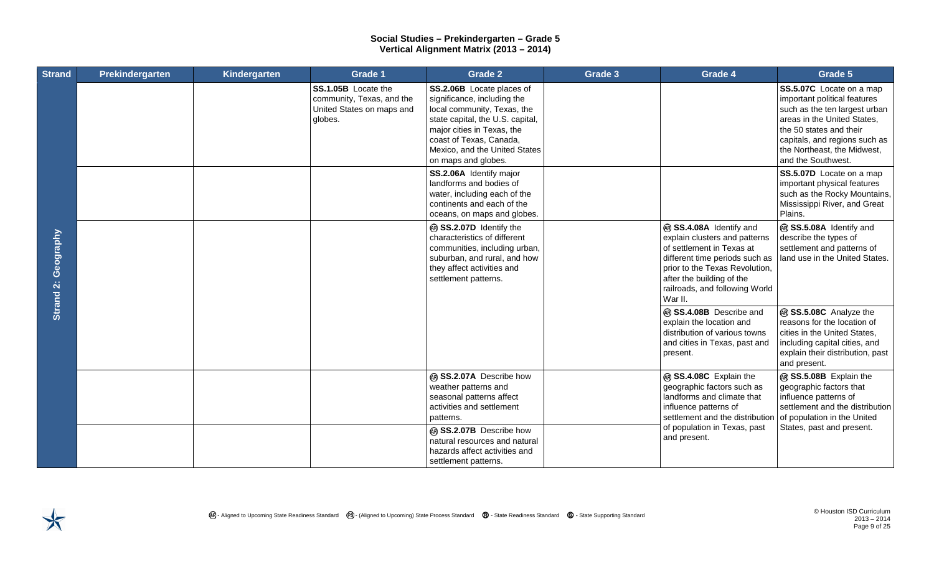| <b>Strand</b>       | Prekindergarten | Kindergarten | Grade 1                                                                                  | <b>Grade 2</b>                                                                                                                                                                                                                               | Grade 3 | Grade 4                                                                                                                                                                                                                             | Grade 5                                                                                                                                                                                                                                          |
|---------------------|-----------------|--------------|------------------------------------------------------------------------------------------|----------------------------------------------------------------------------------------------------------------------------------------------------------------------------------------------------------------------------------------------|---------|-------------------------------------------------------------------------------------------------------------------------------------------------------------------------------------------------------------------------------------|--------------------------------------------------------------------------------------------------------------------------------------------------------------------------------------------------------------------------------------------------|
| Strand 2: Geography |                 |              | SS.1.05B Locate the<br>community, Texas, and the<br>United States on maps and<br>globes. | SS.2.06B Locate places of<br>significance, including the<br>local community, Texas, the<br>state capital, the U.S. capital,<br>major cities in Texas, the<br>coast of Texas, Canada,<br>Mexico, and the United States<br>on maps and globes. |         |                                                                                                                                                                                                                                     | <b>SS.5.07C</b> Locate on a map<br>important political features<br>such as the ten largest urban<br>areas in the United States,<br>the 50 states and their<br>capitals, and regions such as<br>the Northeast, the Midwest,<br>and the Southwest. |
|                     |                 |              |                                                                                          | SS.2.06A Identify major<br>landforms and bodies of<br>water, including each of the<br>continents and each of the<br>oceans, on maps and globes.                                                                                              |         |                                                                                                                                                                                                                                     | SS.5.07D Locate on a map<br>important physical features<br>such as the Rocky Mountains,<br>Mississippi River, and Great<br>Plains.                                                                                                               |
|                     |                 |              |                                                                                          | ® SS.2.07D Identify the<br>characteristics of different<br>communities, including urban,<br>suburban, and rural, and how<br>they affect activities and<br>settlement patterns.                                                               |         | @ SS.4.08A Identify and<br>explain clusters and patterns<br>of settlement in Texas at<br>different time periods such as<br>prior to the Texas Revolution,<br>after the building of the<br>railroads, and following World<br>War II. | ® SS.5.08A Identify and<br>describe the types of<br>settlement and patterns of<br>land use in the United States.                                                                                                                                 |
|                     |                 |              |                                                                                          |                                                                                                                                                                                                                                              |         | @ SS.4.08B Describe and<br>explain the location and<br>distribution of various towns<br>and cities in Texas, past and<br>present.                                                                                                   | ® SS.5.08C Analyze the<br>reasons for the location of<br>cities in the United States,<br>including capital cities, and<br>explain their distribution, past<br>and present.                                                                       |
|                     |                 |              |                                                                                          | @ SS.2.07A Describe how<br>weather patterns and<br>seasonal patterns affect<br>activities and settlement<br>patterns.                                                                                                                        |         | @ SS.4.08C Explain the<br>geographic factors such as<br>landforms and climate that<br>influence patterns of<br>settlement and the distribution                                                                                      | ® SS.5.08B Explain the<br>geographic factors that<br>influence patterns of<br>settlement and the distribution<br>of population in the United                                                                                                     |
|                     |                 |              |                                                                                          | @ SS.2.07B Describe how<br>natural resources and natural<br>hazards affect activities and<br>settlement patterns.                                                                                                                            |         | of population in Texas, past<br>and present.                                                                                                                                                                                        | States, past and present.                                                                                                                                                                                                                        |

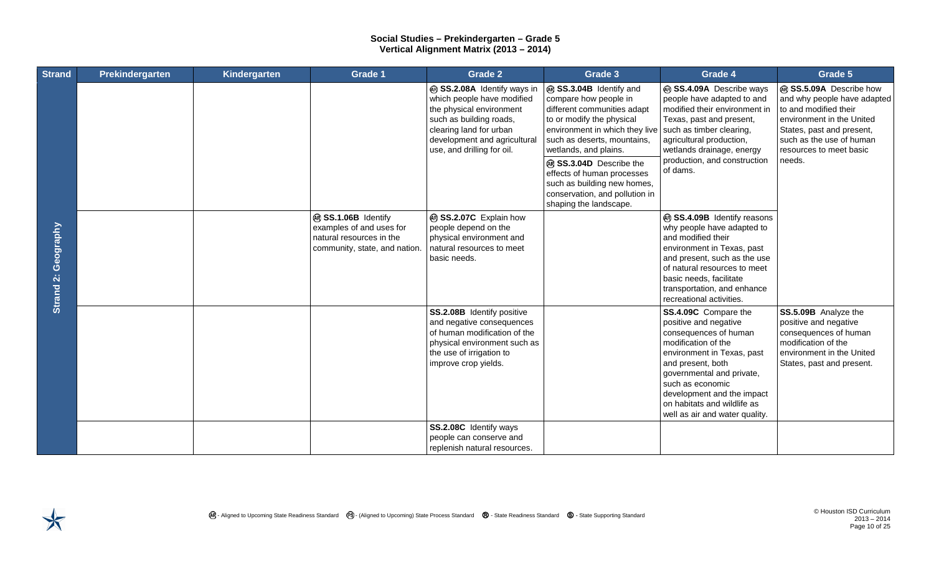| <b>Strand</b>       | Prekindergarten | Kindergarten | Grade 1                                                                                                      | Grade 2                                                                                                                                                                                                   | Grade 3                                                                                                                                                                                                                                                                                                                                                                             | Grade 4                                                                                                                                                                                                                                                                                          | Grade 5                                                                                                                                                                                                    |
|---------------------|-----------------|--------------|--------------------------------------------------------------------------------------------------------------|-----------------------------------------------------------------------------------------------------------------------------------------------------------------------------------------------------------|-------------------------------------------------------------------------------------------------------------------------------------------------------------------------------------------------------------------------------------------------------------------------------------------------------------------------------------------------------------------------------------|--------------------------------------------------------------------------------------------------------------------------------------------------------------------------------------------------------------------------------------------------------------------------------------------------|------------------------------------------------------------------------------------------------------------------------------------------------------------------------------------------------------------|
| Strand 2: Geography |                 |              |                                                                                                              | @ SS.2.08A Identify ways in<br>which people have modified<br>the physical environment<br>such as building roads,<br>clearing land for urban<br>development and agricultural<br>use, and drilling for oil. | @ SS.3.04B Identify and<br>compare how people in<br>different communities adapt<br>to or modify the physical<br>environment in which they live such as timber clearing,<br>such as deserts, mountains,<br>wetlands, and plains.<br>@ SS.3.04D Describe the<br>effects of human processes<br>such as building new homes,<br>conservation, and pollution in<br>shaping the landscape. | @ SS.4.09A Describe ways<br>people have adapted to and<br>modified their environment in<br>Texas, past and present,<br>agricultural production,<br>wetlands drainage, energy<br>production, and construction<br>of dams.                                                                         | @ SS.5.09A Describe how<br>and why people have adapted<br>to and modified their<br>environment in the United<br>States, past and present,<br>such as the use of human<br>resources to meet basic<br>needs. |
|                     |                 |              | @ SS.1.06B Identify<br>examples of and uses for<br>natural resources in the<br>community, state, and nation. | @ SS.2.07C Explain how<br>people depend on the<br>physical environment and<br>natural resources to meet<br>basic needs.                                                                                   |                                                                                                                                                                                                                                                                                                                                                                                     | ® SS.4.09B Identify reasons<br>why people have adapted to<br>and modified their<br>environment in Texas, past<br>and present, such as the use<br>of natural resources to meet<br>basic needs, facilitate<br>transportation, and enhance<br>recreational activities.                              |                                                                                                                                                                                                            |
|                     |                 |              |                                                                                                              | SS.2.08B Identify positive<br>and negative consequences<br>of human modification of the<br>physical environment such as<br>the use of irrigation to<br>improve crop yields.                               |                                                                                                                                                                                                                                                                                                                                                                                     | SS.4.09C Compare the<br>positive and negative<br>consequences of human<br>modification of the<br>environment in Texas, past<br>and present, both<br>governmental and private,<br>such as economic<br>development and the impact<br>on habitats and wildlife as<br>well as air and water quality. | SS.5.09B Analyze the<br>positive and negative<br>consequences of human<br>modification of the<br>environment in the United<br>States, past and present.                                                    |
|                     |                 |              |                                                                                                              | SS.2.08C Identify ways<br>people can conserve and<br>replenish natural resources.                                                                                                                         |                                                                                                                                                                                                                                                                                                                                                                                     |                                                                                                                                                                                                                                                                                                  |                                                                                                                                                                                                            |

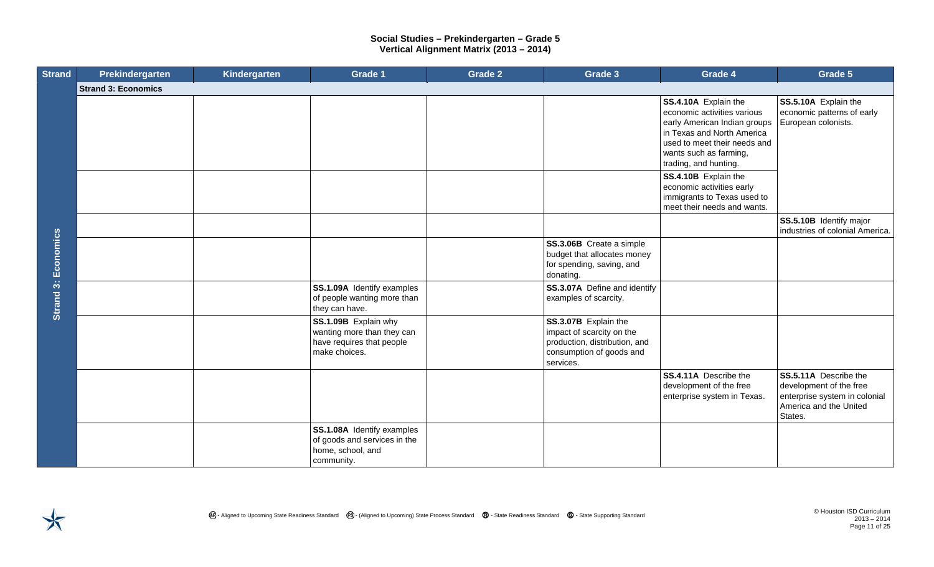| <b>Strand</b>              | Prekindergarten            | Kindergarten | <b>Grade 1</b>                                                                                   | <b>Grade 2</b> | Grade 3                                                                                                                     | Grade 4                                                                                                                                                                                                                                                                                                                 | Grade 5                                                                                                                |
|----------------------------|----------------------------|--------------|--------------------------------------------------------------------------------------------------|----------------|-----------------------------------------------------------------------------------------------------------------------------|-------------------------------------------------------------------------------------------------------------------------------------------------------------------------------------------------------------------------------------------------------------------------------------------------------------------------|------------------------------------------------------------------------------------------------------------------------|
|                            | <b>Strand 3: Economics</b> |              |                                                                                                  |                |                                                                                                                             |                                                                                                                                                                                                                                                                                                                         |                                                                                                                        |
| <b>Strand 3: Economics</b> |                            |              |                                                                                                  |                |                                                                                                                             | SS.4.10A Explain the<br>economic activities various<br>early American Indian groups<br>in Texas and North America<br>used to meet their needs and<br>wants such as farming,<br>trading, and hunting.<br>SS.4.10B Explain the<br>economic activities early<br>immigrants to Texas used to<br>meet their needs and wants. | SS.5.10A Explain the<br>economic patterns of early<br>European colonists.                                              |
|                            |                            |              |                                                                                                  |                |                                                                                                                             |                                                                                                                                                                                                                                                                                                                         | SS.5.10B Identify major<br>industries of colonial America.                                                             |
|                            |                            |              |                                                                                                  |                | SS.3.06B Create a simple<br>budget that allocates money<br>for spending, saving, and<br>donating.                           |                                                                                                                                                                                                                                                                                                                         |                                                                                                                        |
|                            |                            |              | SS.1.09A Identify examples<br>of people wanting more than<br>they can have.                      |                | SS.3.07A Define and identify<br>examples of scarcity.                                                                       |                                                                                                                                                                                                                                                                                                                         |                                                                                                                        |
|                            |                            |              | SS.1.09B Explain why<br>wanting more than they can<br>have requires that people<br>make choices. |                | SS.3.07B Explain the<br>impact of scarcity on the<br>production, distribution, and<br>consumption of goods and<br>services. |                                                                                                                                                                                                                                                                                                                         |                                                                                                                        |
|                            |                            |              |                                                                                                  |                |                                                                                                                             | SS.4.11A Describe the<br>development of the free<br>enterprise system in Texas.                                                                                                                                                                                                                                         | SS.5.11A Describe the<br>development of the free<br>enterprise system in colonial<br>America and the United<br>States. |
|                            |                            |              | SS.1.08A Identify examples<br>of goods and services in the<br>home, school, and<br>community.    |                |                                                                                                                             |                                                                                                                                                                                                                                                                                                                         |                                                                                                                        |



2013 – 2014 Page 11 of 25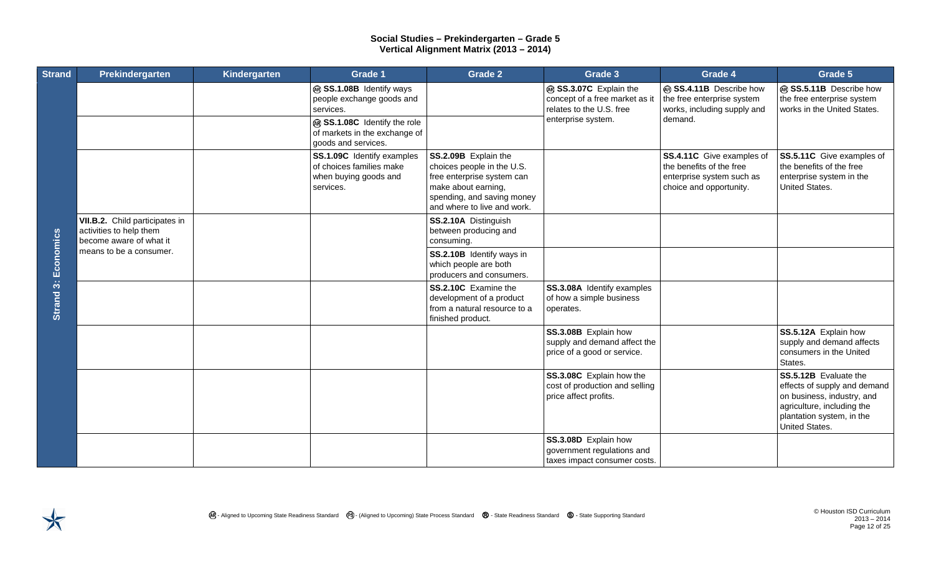| <b>Strand</b>       | Prekindergarten                                                                      | Kindergarten | Grade 1                                                                                                                                                    | Grade 2                                                                                                                                                              | Grade 3                                                                                                    | Grade 4                                                                                                       | Grade 5                                                                                                                                                          |
|---------------------|--------------------------------------------------------------------------------------|--------------|------------------------------------------------------------------------------------------------------------------------------------------------------------|----------------------------------------------------------------------------------------------------------------------------------------------------------------------|------------------------------------------------------------------------------------------------------------|---------------------------------------------------------------------------------------------------------------|------------------------------------------------------------------------------------------------------------------------------------------------------------------|
|                     |                                                                                      |              | @ SS.1.08B Identify ways<br>people exchange goods and<br>services.<br>@ SS.1.08C Identify the role<br>of markets in the exchange of<br>goods and services. |                                                                                                                                                                      | @ SS.3.07C Explain the<br>concept of a free market as it<br>relates to the U.S. free<br>enterprise system. | @ SS.4.11B Describe how<br>the free enterprise system<br>works, including supply and<br>demand.               | ® SS.5.11B Describe how<br>the free enterprise system<br>works in the United States.                                                                             |
|                     |                                                                                      |              | SS.1.09C Identify examples<br>of choices families make<br>when buying goods and<br>services.                                                               | SS.2.09B Explain the<br>choices people in the U.S.<br>free enterprise system can<br>make about earning,<br>spending, and saving money<br>and where to live and work. |                                                                                                            | SS.4.11C Give examples of<br>the benefits of the free<br>enterprise system such as<br>choice and opportunity. | SS.5.11C Give examples of<br>the benefits of the free<br>enterprise system in the<br>United States.                                                              |
|                     | VII.B.2. Child participates in<br>activities to help them<br>become aware of what it |              |                                                                                                                                                            | SS.2.10A Distinguish<br>between producing and<br>consuming.                                                                                                          |                                                                                                            |                                                                                                               |                                                                                                                                                                  |
|                     | means to be a consumer.                                                              |              |                                                                                                                                                            | SS.2.10B Identify ways in<br>which people are both<br>producers and consumers.                                                                                       |                                                                                                            |                                                                                                               |                                                                                                                                                                  |
| Strand 3: Economics |                                                                                      |              |                                                                                                                                                            | SS.2.10C Examine the<br>development of a product<br>from a natural resource to a<br>finished product.                                                                | SS.3.08A Identify examples<br>of how a simple business<br>operates.                                        |                                                                                                               |                                                                                                                                                                  |
|                     |                                                                                      |              |                                                                                                                                                            |                                                                                                                                                                      | SS.3.08B Explain how<br>supply and demand affect the<br>price of a good or service.                        |                                                                                                               | SS.5.12A Explain how<br>supply and demand affects<br>consumers in the United<br>States.                                                                          |
|                     |                                                                                      |              |                                                                                                                                                            |                                                                                                                                                                      | SS.3.08C Explain how the<br>cost of production and selling<br>price affect profits.                        |                                                                                                               | SS.5.12B Evaluate the<br>effects of supply and demand<br>on business, industry, and<br>agriculture, including the<br>plantation system, in the<br>United States. |
|                     |                                                                                      |              |                                                                                                                                                            |                                                                                                                                                                      | SS.3.08D Explain how<br>government regulations and<br>taxes impact consumer costs.                         |                                                                                                               |                                                                                                                                                                  |

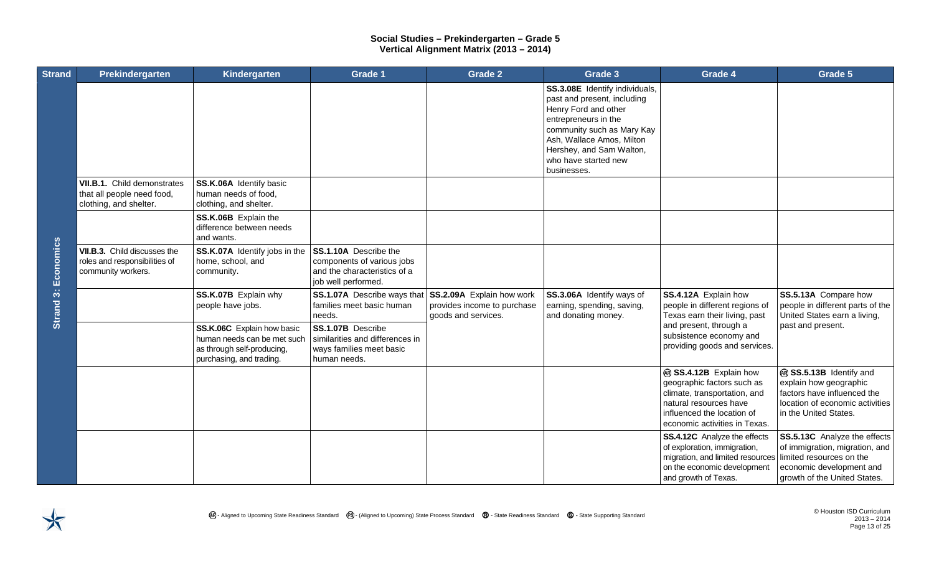| <b>Strand</b>       | Prekindergarten                                                                     | Kindergarten                                                                                                        | Grade 1                                                                                                    | Grade 2                                                                         | Grade 3                                                                                                                                                                                                                                     | Grade 4                                                                                                                                                                       | Grade 5                                                                                                                                                |
|---------------------|-------------------------------------------------------------------------------------|---------------------------------------------------------------------------------------------------------------------|------------------------------------------------------------------------------------------------------------|---------------------------------------------------------------------------------|---------------------------------------------------------------------------------------------------------------------------------------------------------------------------------------------------------------------------------------------|-------------------------------------------------------------------------------------------------------------------------------------------------------------------------------|--------------------------------------------------------------------------------------------------------------------------------------------------------|
|                     |                                                                                     |                                                                                                                     |                                                                                                            |                                                                                 | SS.3.08E Identify individuals,<br>past and present, including<br>Henry Ford and other<br>entrepreneurs in the<br>community such as Mary Kay<br>Ash, Wallace Amos, Milton<br>Hershey, and Sam Walton,<br>who have started new<br>businesses. |                                                                                                                                                                               |                                                                                                                                                        |
|                     | VII.B.1. Child demonstrates<br>that all people need food,<br>clothing, and shelter. | SS.K.06A Identify basic<br>human needs of food,<br>clothing, and shelter.                                           |                                                                                                            |                                                                                 |                                                                                                                                                                                                                                             |                                                                                                                                                                               |                                                                                                                                                        |
| Strand 3: Economics |                                                                                     | SS.K.06B Explain the<br>difference between needs<br>and wants.                                                      |                                                                                                            |                                                                                 |                                                                                                                                                                                                                                             |                                                                                                                                                                               |                                                                                                                                                        |
|                     | VII.B.3. Child discusses the<br>roles and responsibilities of<br>community workers. | SS.K.07A Identify jobs in the<br>home, school, and<br>community.                                                    | SS.1.10A Describe the<br>components of various jobs<br>and the characteristics of a<br>job well performed. |                                                                                 |                                                                                                                                                                                                                                             |                                                                                                                                                                               |                                                                                                                                                        |
|                     |                                                                                     | SS.K.07B Explain why<br>people have jobs.                                                                           | SS.1.07A Describe ways that<br>families meet basic human<br>needs.                                         | SS.2.09A Explain how work<br>provides income to purchase<br>goods and services. | SS.3.06A Identify ways of<br>earning, spending, saving,<br>and donating money.                                                                                                                                                              | SS.4.12A Explain how<br>people in different regions of<br>Texas earn their living, past                                                                                       | SS.5.13A Compare how<br>people in different parts of the<br>United States earn a living,                                                               |
|                     |                                                                                     | SS.K.06C Explain how basic<br>human needs can be met such<br>as through self-producing,<br>purchasing, and trading. | SS.1.07B Describe<br>similarities and differences in<br>ways families meet basic<br>human needs.           |                                                                                 |                                                                                                                                                                                                                                             | and present, through a<br>subsistence economy and<br>providing goods and services.                                                                                            | past and present.                                                                                                                                      |
|                     |                                                                                     |                                                                                                                     |                                                                                                            |                                                                                 |                                                                                                                                                                                                                                             | @ SS.4.12B Explain how<br>geographic factors such as<br>climate, transportation, and<br>natural resources have<br>influenced the location of<br>economic activities in Texas. | @ SS.5.13B Identify and<br>explain how geographic<br>factors have influenced the<br>location of economic activities<br>in the United States.           |
|                     |                                                                                     |                                                                                                                     |                                                                                                            |                                                                                 |                                                                                                                                                                                                                                             | <b>SS.4.12C</b> Analyze the effects<br>of exploration, immigration,<br>migration, and limited resources<br>on the economic development<br>and growth of Texas.                | SS.5.13C Analyze the effects<br>of immigration, migration, and<br>limited resources on the<br>economic development and<br>growth of the United States. |

 $\blacktriangleright$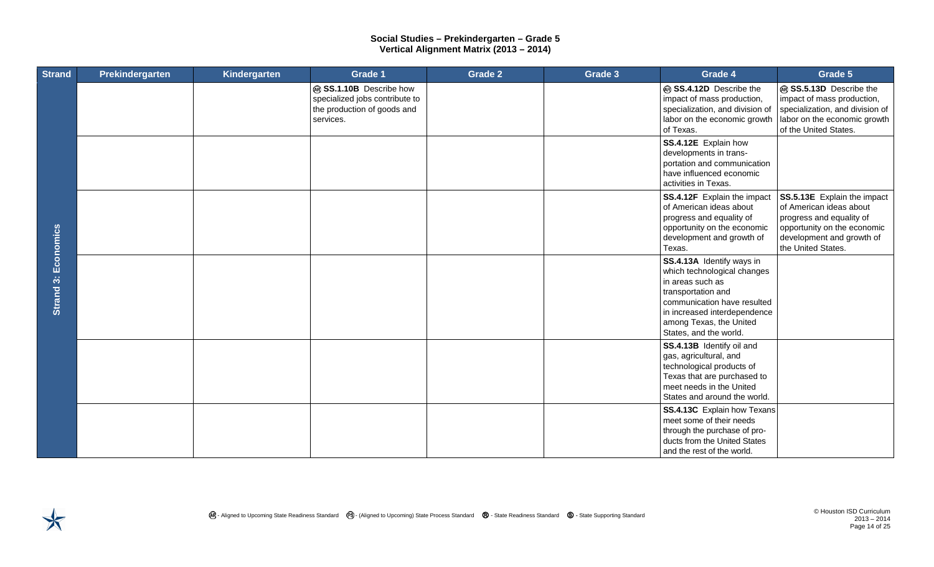| <b>Strand</b>          | Prekindergarten | Kindergarten | Grade 1                                                                                               | <b>Grade 2</b> | Grade 3 | Grade 4                                                                                                                                                                                                                | Grade 5                                                                                                                                                              |
|------------------------|-----------------|--------------|-------------------------------------------------------------------------------------------------------|----------------|---------|------------------------------------------------------------------------------------------------------------------------------------------------------------------------------------------------------------------------|----------------------------------------------------------------------------------------------------------------------------------------------------------------------|
| Economics<br>Strand 3: |                 |              | @ SS.1.10B Describe how<br>specialized jobs contribute to<br>the production of goods and<br>services. |                |         | @ SS.4.12D Describe the<br>impact of mass production,<br>specialization, and division of<br>labor on the economic growth<br>of Texas.                                                                                  | @ SS.5.13D Describe the<br>impact of mass production,<br>specialization, and division of<br>labor on the economic growth<br>of the United States.                    |
|                        |                 |              |                                                                                                       |                |         | SS.4.12E Explain how<br>developments in trans-<br>portation and communication<br>have influenced economic<br>activities in Texas.                                                                                      |                                                                                                                                                                      |
|                        |                 |              |                                                                                                       |                |         | SS.4.12F Explain the impact<br>of American ideas about<br>progress and equality of<br>opportunity on the economic<br>development and growth of<br>Texas.                                                               | SS.5.13E Explain the impact<br>of American ideas about<br>progress and equality of<br>opportunity on the economic<br>development and growth of<br>the United States. |
|                        |                 |              |                                                                                                       |                |         | SS.4.13A Identify ways in<br>which technological changes<br>in areas such as<br>transportation and<br>communication have resulted<br>in increased interdependence<br>among Texas, the United<br>States, and the world. |                                                                                                                                                                      |
|                        |                 |              |                                                                                                       |                |         | SS.4.13B Identify oil and<br>gas, agricultural, and<br>technological products of<br>Texas that are purchased to<br>meet needs in the United<br>States and around the world.                                            |                                                                                                                                                                      |
|                        |                 |              |                                                                                                       |                |         | SS.4.13C Explain how Texans<br>meet some of their needs<br>through the purchase of pro-<br>ducts from the United States<br>and the rest of the world.                                                                  |                                                                                                                                                                      |

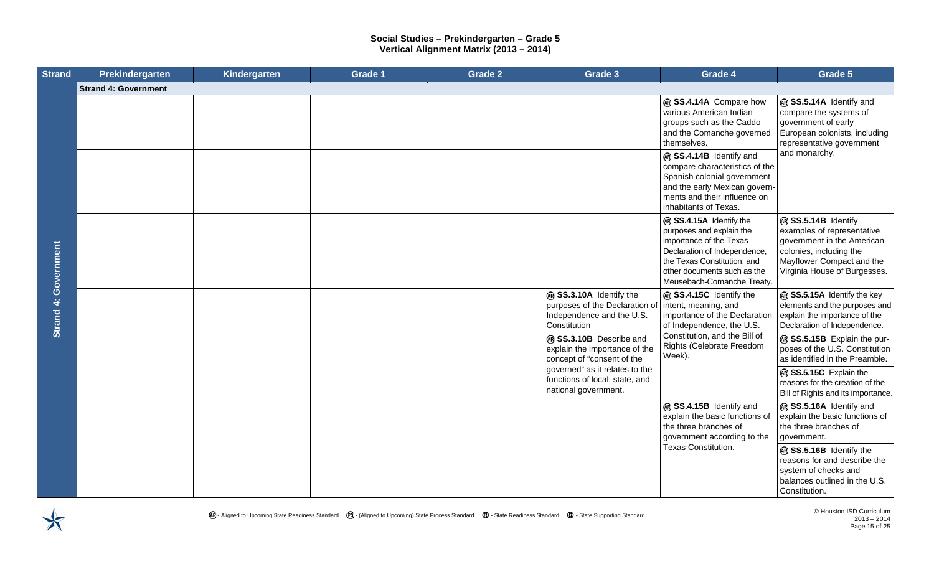| <b>Strand</b>               | Prekindergarten             | Kindergarten | Grade 1 | <b>Grade 2</b> | Grade 3                                                                                                | Grade 4                                                                                                                                                                                                    | Grade 5                                                                                                                                                                 |
|-----------------------------|-----------------------------|--------------|---------|----------------|--------------------------------------------------------------------------------------------------------|------------------------------------------------------------------------------------------------------------------------------------------------------------------------------------------------------------|-------------------------------------------------------------------------------------------------------------------------------------------------------------------------|
|                             | <b>Strand 4: Government</b> |              |         |                |                                                                                                        |                                                                                                                                                                                                            |                                                                                                                                                                         |
|                             |                             |              |         |                |                                                                                                        | @ SS.4.14A Compare how<br>various American Indian<br>groups such as the Caddo<br>and the Comanche governed<br>themselves.                                                                                  | @ SS.5.14A Identify and<br>compare the systems of<br>government of early<br>European colonists, including<br>representative government                                  |
|                             |                             |              |         |                |                                                                                                        | ® SS.4.14B Identify and<br>compare characteristics of the<br>Spanish colonial government<br>and the early Mexican govern-<br>ments and their influence on<br>inhabitants of Texas.                         | and monarchy.                                                                                                                                                           |
| <b>Strand 4: Government</b> |                             |              |         |                |                                                                                                        | @ SS.4.15A Identify the<br>purposes and explain the<br>importance of the Texas<br>Declaration of Independence,<br>the Texas Constitution, and<br>other documents such as the<br>Meusebach-Comanche Treaty. | ® SS.5.14B Identify<br>examples of representative<br>government in the American<br>colonies, including the<br>Mayflower Compact and the<br>Virginia House of Burgesses. |
|                             |                             |              |         |                | @ SS.3.10A Identify the<br>purposes of the Declaration of<br>Independence and the U.S.<br>Constitution | ® SS.4.15C Identify the<br>intent, meaning, and<br>importance of the Declaration<br>of Independence, the U.S.<br>Constitution, and the Bill of<br>Rights (Celebrate Freedom<br>Week).                      | @ SS.5.15A Identify the key<br>elements and the purposes and<br>explain the importance of the<br>Declaration of Independence.                                           |
|                             |                             |              |         |                | @ SS.3.10B Describe and<br>explain the importance of the<br>concept of "consent of the                 |                                                                                                                                                                                                            | @ SS.5.15B Explain the pur-<br>poses of the U.S. Constitution<br>as identified in the Preamble.                                                                         |
|                             |                             |              |         |                | governed" as it relates to the<br>functions of local, state, and<br>national government.               |                                                                                                                                                                                                            | @ SS.5.15C Explain the<br>reasons for the creation of the<br>Bill of Rights and its importance.                                                                         |
|                             |                             |              |         |                |                                                                                                        | ® SS.4.15B Identify and<br>explain the basic functions of<br>the three branches of<br>government according to the                                                                                          | @ SS.5.16A Identify and<br>explain the basic functions of<br>the three branches of<br>government.                                                                       |
|                             |                             |              |         |                |                                                                                                        | Texas Constitution.                                                                                                                                                                                        | @ SS.5.16B Identify the<br>reasons for and describe the<br>system of checks and<br>balances outlined in the U.S.<br>Constitution.                                       |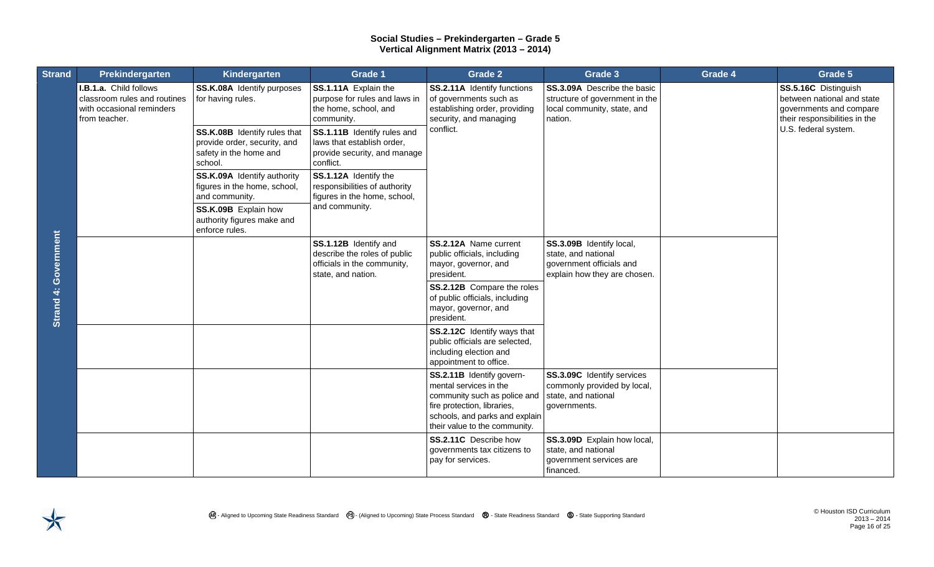| <b>Strand</b>        | Prekindergarten                                                                                      | Kindergarten                                                                                                                                          | Grade 1                                                                                                    | Grade 2                                                                                                                                                                               | Grade 3                                                                                                        | Grade 4 | Grade 5                                                                                                        |
|----------------------|------------------------------------------------------------------------------------------------------|-------------------------------------------------------------------------------------------------------------------------------------------------------|------------------------------------------------------------------------------------------------------------|---------------------------------------------------------------------------------------------------------------------------------------------------------------------------------------|----------------------------------------------------------------------------------------------------------------|---------|----------------------------------------------------------------------------------------------------------------|
|                      | I.B.1.a. Child follows<br>classroom rules and routines<br>with occasional reminders<br>from teacher. | SS.K.08A Identify purposes<br>for having rules.                                                                                                       | SS.1.11A Explain the<br>purpose for rules and laws in<br>the home, school, and<br>community.               | <b>SS.2.11A</b> Identify functions<br>of governments such as<br>establishing order, providing<br>security, and managing                                                               | <b>SS.3.09A</b> Describe the basic<br>structure of government in the<br>local community, state, and<br>nation. |         | SS.5.16C Distinguish<br>between national and state<br>governments and compare<br>their responsibilities in the |
|                      |                                                                                                      | SS.K.08B Identify rules that<br>provide order, security, and<br>safety in the home and<br>school.                                                     | SS.1.11B Identify rules and<br>laws that establish order,<br>provide security, and manage<br>conflict.     | conflict.                                                                                                                                                                             |                                                                                                                |         | U.S. federal system.                                                                                           |
| Strand 4: Government |                                                                                                      | SS.K.09A Identify authority<br>figures in the home, school,<br>and community.<br>SS.K.09B Explain how<br>authority figures make and<br>enforce rules. | SS.1.12A Identify the<br>responsibilities of authority<br>figures in the home, school,                     |                                                                                                                                                                                       |                                                                                                                |         |                                                                                                                |
|                      |                                                                                                      |                                                                                                                                                       | and community.                                                                                             |                                                                                                                                                                                       |                                                                                                                |         |                                                                                                                |
|                      |                                                                                                      |                                                                                                                                                       | SS.1.12B Identify and<br>describe the roles of public<br>officials in the community,<br>state, and nation. | SS.2.12A Name current<br>public officials, including<br>mayor, governor, and<br>president.                                                                                            | SS.3.09B Identify local,<br>state, and national<br>government officials and<br>explain how they are chosen.    |         |                                                                                                                |
|                      |                                                                                                      |                                                                                                                                                       |                                                                                                            | SS.2.12B Compare the roles<br>of public officials, including<br>mayor, governor, and<br>president.                                                                                    |                                                                                                                |         |                                                                                                                |
|                      |                                                                                                      |                                                                                                                                                       |                                                                                                            | SS.2.12C Identify ways that<br>public officials are selected,<br>including election and<br>appointment to office.                                                                     |                                                                                                                |         |                                                                                                                |
|                      |                                                                                                      |                                                                                                                                                       |                                                                                                            | SS.2.11B Identify govern-<br>mental services in the<br>community such as police and<br>fire protection, libraries,<br>schools, and parks and explain<br>their value to the community. | SS.3.09C Identify services<br>commonly provided by local,<br>state, and national<br>governments.               |         |                                                                                                                |
|                      |                                                                                                      |                                                                                                                                                       |                                                                                                            | SS.2.11C Describe how<br>governments tax citizens to<br>pay for services.                                                                                                             | SS.3.09D Explain how local,<br>state, and national<br>government services are<br>financed.                     |         |                                                                                                                |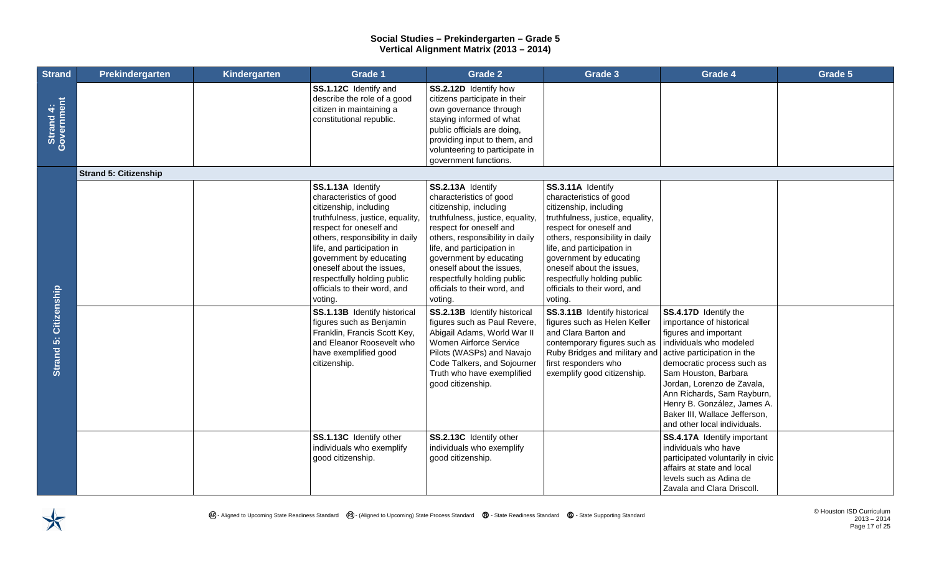| <b>Strand</b>                | Prekindergarten              | Kindergarten | Grade 1                                                                                                                                                                                                                                                                                                                                  | <b>Grade 2</b>                                                                                                                                                                                                                                                                                                                           | Grade 3                                                                                                                                                                                                                                                                                                                                  | Grade 4                                                                                                                                                                                                                                                                                                                                                | Grade 5 |
|------------------------------|------------------------------|--------------|------------------------------------------------------------------------------------------------------------------------------------------------------------------------------------------------------------------------------------------------------------------------------------------------------------------------------------------|------------------------------------------------------------------------------------------------------------------------------------------------------------------------------------------------------------------------------------------------------------------------------------------------------------------------------------------|------------------------------------------------------------------------------------------------------------------------------------------------------------------------------------------------------------------------------------------------------------------------------------------------------------------------------------------|--------------------------------------------------------------------------------------------------------------------------------------------------------------------------------------------------------------------------------------------------------------------------------------------------------------------------------------------------------|---------|
| Strand 4:<br>Government      |                              |              | SS.1.12C Identify and<br>describe the role of a good<br>citizen in maintaining a<br>constitutional republic.                                                                                                                                                                                                                             | SS.2.12D Identify how<br>citizens participate in their<br>own governance through<br>staying informed of what<br>public officials are doing,<br>providing input to them, and<br>volunteering to participate in<br>government functions.                                                                                                   |                                                                                                                                                                                                                                                                                                                                          |                                                                                                                                                                                                                                                                                                                                                        |         |
|                              | <b>Strand 5: Citizenship</b> |              |                                                                                                                                                                                                                                                                                                                                          |                                                                                                                                                                                                                                                                                                                                          |                                                                                                                                                                                                                                                                                                                                          |                                                                                                                                                                                                                                                                                                                                                        |         |
|                              |                              |              | SS.1.13A Identify<br>characteristics of good<br>citizenship, including<br>truthfulness, justice, equality,<br>respect for oneself and<br>others, responsibility in daily<br>life, and participation in<br>government by educating<br>oneself about the issues,<br>respectfully holding public<br>officials to their word, and<br>voting. | SS.2.13A Identify<br>characteristics of good<br>citizenship, including<br>truthfulness, justice, equality,<br>respect for oneself and<br>others, responsibility in daily<br>life, and participation in<br>government by educating<br>oneself about the issues,<br>respectfully holding public<br>officials to their word, and<br>voting. | SS.3.11A Identify<br>characteristics of good<br>citizenship, including<br>truthfulness, justice, equality,<br>respect for oneself and<br>others, responsibility in daily<br>life, and participation in<br>government by educating<br>oneself about the issues,<br>respectfully holding public<br>officials to their word, and<br>voting. |                                                                                                                                                                                                                                                                                                                                                        |         |
| <b>Strand 5: Citizenship</b> |                              |              | SS.1.13B Identify historical<br>figures such as Benjamin<br>Franklin, Francis Scott Key,<br>and Eleanor Roosevelt who<br>have exemplified good<br>citizenship.                                                                                                                                                                           | SS.2.13B Identify historical<br>figures such as Paul Revere,<br>Abigail Adams, World War II<br>Women Airforce Service<br>Pilots (WASPs) and Navajo<br>Code Talkers, and Sojourner<br>Truth who have exemplified<br>good citizenship.                                                                                                     | SS.3.11B Identify historical<br>figures such as Helen Keller<br>and Clara Barton and<br>contemporary figures such as<br>Ruby Bridges and military and<br>first responders who<br>exemplify good citizenship.                                                                                                                             | SS.4.17D Identify the<br>importance of historical<br>figures and important<br>individuals who modeled<br>active participation in the<br>democratic process such as<br>Sam Houston, Barbara<br>Jordan, Lorenzo de Zavala,<br>Ann Richards, Sam Rayburn,<br>Henry B. González, James A.<br>Baker III, Wallace Jefferson,<br>and other local individuals. |         |
|                              |                              |              | SS.1.13C Identify other<br>individuals who exemplify<br>good citizenship.                                                                                                                                                                                                                                                                | SS.2.13C Identify other<br>individuals who exemplify<br>good citizenship.                                                                                                                                                                                                                                                                |                                                                                                                                                                                                                                                                                                                                          | <b>SS.4.17A</b> Identify important<br>individuals who have<br>participated voluntarily in civic<br>affairs at state and local<br>levels such as Adina de<br>Zavala and Clara Driscoll.                                                                                                                                                                 |         |

 $\bigtimes$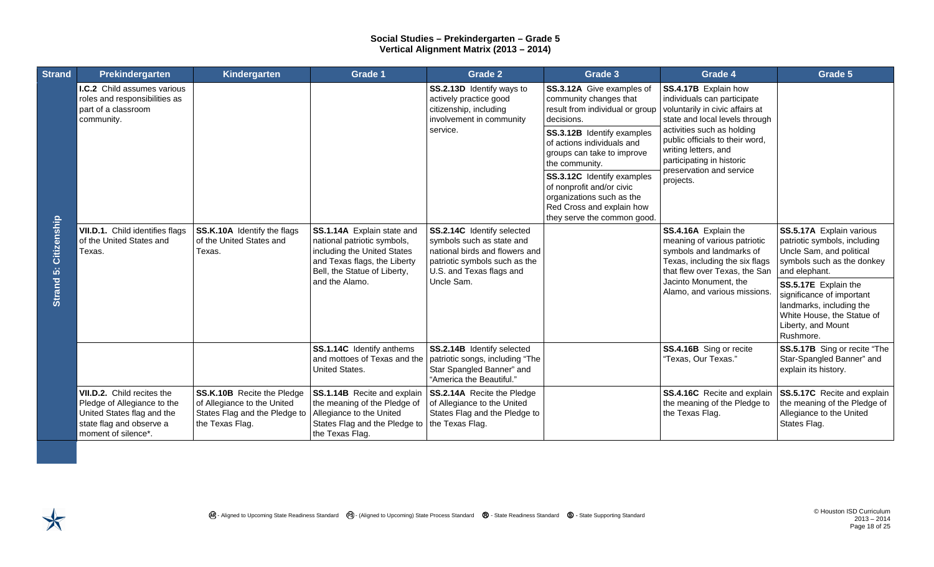| <b>Strand</b>            | Prekindergarten                                                                                                                            | Kindergarten                                                                                                         | Grade 1                                                                                                                                                                    | <b>Grade 2</b>                                                                                                                                                       | Grade 3                                                                                                                                                                                                                                                                                                                                                              | Grade 4                                                                                                                                                                                                                                                                                 | Grade 5                                                                                                                                                                                                                                                                               |
|--------------------------|--------------------------------------------------------------------------------------------------------------------------------------------|----------------------------------------------------------------------------------------------------------------------|----------------------------------------------------------------------------------------------------------------------------------------------------------------------------|----------------------------------------------------------------------------------------------------------------------------------------------------------------------|----------------------------------------------------------------------------------------------------------------------------------------------------------------------------------------------------------------------------------------------------------------------------------------------------------------------------------------------------------------------|-----------------------------------------------------------------------------------------------------------------------------------------------------------------------------------------------------------------------------------------------------------------------------------------|---------------------------------------------------------------------------------------------------------------------------------------------------------------------------------------------------------------------------------------------------------------------------------------|
| Citizenship<br>Strand 5: | <b>I.C.2</b> Child assumes various<br>roles and responsibilities as<br>part of a classroom<br>community.                                   |                                                                                                                      |                                                                                                                                                                            | SS.2.13D Identify ways to<br>actively practice good<br>citizenship, including<br>involvement in community<br>service.                                                | SS.3.12A Give examples of<br>community changes that<br>result from individual or group<br>decisions.<br>SS.3.12B Identify examples<br>of actions individuals and<br>groups can take to improve<br>the community.<br>SS.3.12C Identify examples<br>of nonprofit and/or civic<br>organizations such as the<br>Red Cross and explain how<br>they serve the common good. | SS.4.17B Explain how<br>individuals can participate<br>voluntarily in civic affairs at<br>state and local levels through<br>activities such as holding<br>public officials to their word,<br>writing letters, and<br>participating in historic<br>preservation and service<br>projects. |                                                                                                                                                                                                                                                                                       |
|                          | VII.D.1. Child identifies flags<br>of the United States and<br>Texas.                                                                      | SS.K.10A Identify the flags<br>of the United States and<br>Texas.                                                    | SS.1.14A Explain state and<br>national patriotic symbols,<br>including the United States<br>and Texas flags, the Liberty<br>Bell, the Statue of Liberty,<br>and the Alamo. | SS.2.14C Identify selected<br>symbols such as state and<br>national birds and flowers and<br>patriotic symbols such as the<br>U.S. and Texas flags and<br>Uncle Sam. |                                                                                                                                                                                                                                                                                                                                                                      | SS.4.16A Explain the<br>meaning of various patriotic<br>symbols and landmarks of<br>Texas, including the six flags<br>that flew over Texas, the San<br>Jacinto Monument, the<br>Alamo, and various missions.                                                                            | SS.5.17A Explain various<br>patriotic symbols, including<br>Uncle Sam, and political<br>symbols such as the donkey<br>and elephant.<br>SS.5.17E Explain the<br>significance of important<br>landmarks, including the<br>White House, the Statue of<br>Liberty, and Mount<br>Rushmore. |
|                          |                                                                                                                                            |                                                                                                                      | SS.1.14C Identify anthems<br>and mottoes of Texas and the<br><b>United States.</b>                                                                                         | SS.2.14B Identify selected<br>patriotic songs, including "The<br>Star Spangled Banner" and<br>"America the Beautiful."                                               |                                                                                                                                                                                                                                                                                                                                                                      | SS.4.16B Sing or recite<br>"Texas, Our Texas."                                                                                                                                                                                                                                          | SS.5.17B Sing or recite "The<br>Star-Spangled Banner" and<br>explain its history.                                                                                                                                                                                                     |
|                          | VII.D.2. Child recites the<br>Pledge of Allegiance to the<br>United States flag and the<br>state flag and observe a<br>moment of silence*. | <b>SS.K.10B</b> Recite the Pledge<br>of Allegiance to the United<br>States Flag and the Pledge to<br>the Texas Flag. | SS.1.14B Recite and explain<br>the meaning of the Pledge of<br>Allegiance to the United<br>States Flag and the Pledge to<br>the Texas Flag.                                | SS.2.14A Recite the Pledge<br>of Allegiance to the United<br>States Flag and the Pledge to<br>the Texas Flag.                                                        |                                                                                                                                                                                                                                                                                                                                                                      | SS.4.16C Recite and explain<br>the meaning of the Pledge to<br>the Texas Flag.                                                                                                                                                                                                          | SS.5.17C Recite and explain<br>the meaning of the Pledge of<br>Allegiance to the United<br>States Flag.                                                                                                                                                                               |

 $\blacktriangledown$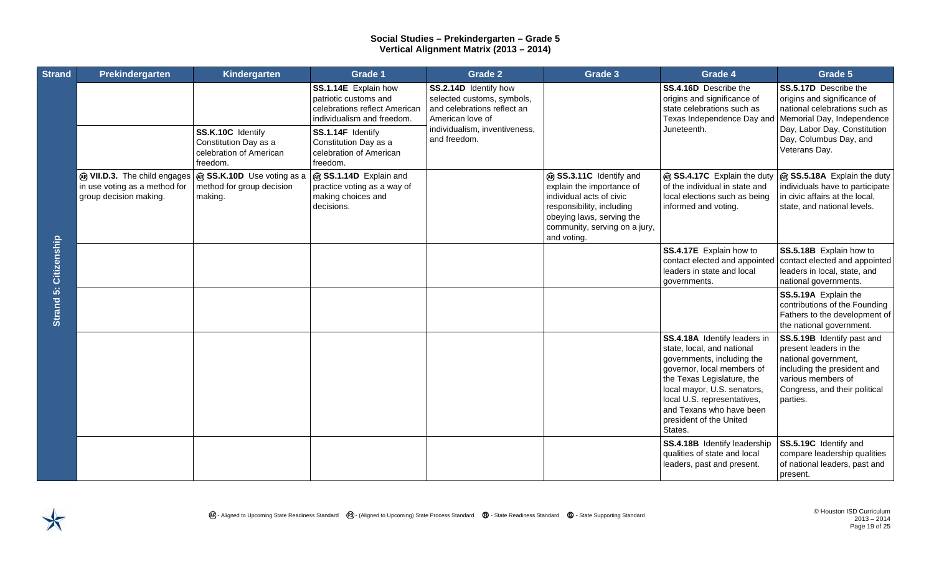| <b>Strand</b> | Prekindergarten                                                                         | Kindergarten                                                                      | Grade 1                                                                                                                                                                                           | <b>Grade 2</b>                                                                                                                                          | Grade 3                                                                                                                                                                                    | Grade 4                                                                                                                                                                                                                                                                              | Grade 5                                                                                                                                                                                        |
|---------------|-----------------------------------------------------------------------------------------|-----------------------------------------------------------------------------------|---------------------------------------------------------------------------------------------------------------------------------------------------------------------------------------------------|---------------------------------------------------------------------------------------------------------------------------------------------------------|--------------------------------------------------------------------------------------------------------------------------------------------------------------------------------------------|--------------------------------------------------------------------------------------------------------------------------------------------------------------------------------------------------------------------------------------------------------------------------------------|------------------------------------------------------------------------------------------------------------------------------------------------------------------------------------------------|
| Citizenship   |                                                                                         | SS.K.10C Identify<br>Constitution Day as a<br>celebration of American<br>freedom. | SS.1.14E Explain how<br>patriotic customs and<br>celebrations reflect American<br>individualism and freedom.<br>SS.1.14F Identify<br>Constitution Day as a<br>celebration of American<br>freedom. | SS.2.14D Identify how<br>selected customs, symbols,<br>and celebrations reflect an<br>American love of<br>individualism, inventiveness,<br>and freedom. |                                                                                                                                                                                            | <b>SS.4.16D</b> Describe the<br>origins and significance of<br>state celebrations such as<br>Texas Independence Day and<br>Juneteenth.                                                                                                                                               | SS.5.17D Describe the<br>origins and significance of<br>national celebrations such as<br>Memorial Day, Independence<br>Day, Labor Day, Constitution<br>Day, Columbus Day, and<br>Veterans Day. |
|               | @ VII.D.3. The child engages<br>in use voting as a method for<br>group decision making. | @ SS.K.10D Use voting as a<br>method for group decision<br>making.                | ® SS.1.14D Explain and<br>practice voting as a way of<br>making choices and<br>decisions.                                                                                                         |                                                                                                                                                         | @ SS.3.11C Identify and<br>explain the importance of<br>individual acts of civic<br>responsibility, including<br>obeying laws, serving the<br>community, serving on a jury,<br>and voting. | ® SS.4.17C Explain the duty<br>of the individual in state and<br>local elections such as being<br>informed and voting.                                                                                                                                                               | ® SS.5.18A Explain the duty<br>individuals have to participate<br>in civic affairs at the local,<br>state, and national levels.                                                                |
|               |                                                                                         |                                                                                   |                                                                                                                                                                                                   |                                                                                                                                                         |                                                                                                                                                                                            | SS.4.17E Explain how to<br>contact elected and appointed<br>leaders in state and local<br>governments.                                                                                                                                                                               | SS.5.18B Explain how to<br>contact elected and appointed<br>leaders in local, state, and<br>national governments.                                                                              |
| Strand 5:     |                                                                                         |                                                                                   |                                                                                                                                                                                                   |                                                                                                                                                         |                                                                                                                                                                                            |                                                                                                                                                                                                                                                                                      | SS.5.19A Explain the<br>contributions of the Founding<br>Fathers to the development of<br>the national government.                                                                             |
|               |                                                                                         |                                                                                   |                                                                                                                                                                                                   |                                                                                                                                                         |                                                                                                                                                                                            | SS.4.18A Identify leaders in<br>state, local, and national<br>governments, including the<br>governor, local members of<br>the Texas Legislature, the<br>local mayor, U.S. senators,<br>local U.S. representatives,<br>and Texans who have been<br>president of the United<br>States. | SS.5.19B Identify past and<br>present leaders in the<br>national government,<br>including the president and<br>various members of<br>Congress, and their political<br>parties.                 |
|               |                                                                                         |                                                                                   |                                                                                                                                                                                                   |                                                                                                                                                         |                                                                                                                                                                                            | SS.4.18B Identify leadership<br>qualities of state and local<br>leaders, past and present.                                                                                                                                                                                           | SS.5.19C Identify and<br>compare leadership qualities<br>of national leaders, past and<br>present.                                                                                             |

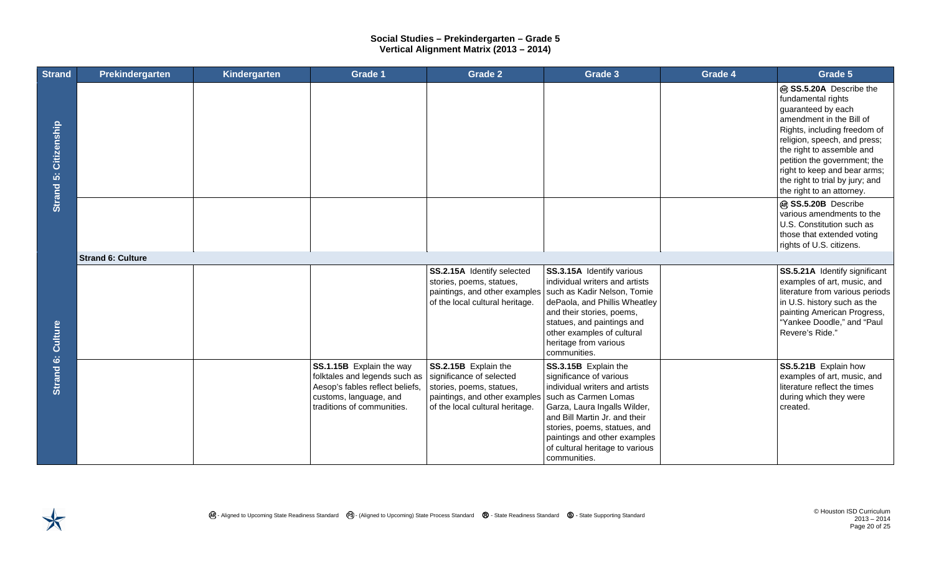| <b>Strand</b>                | Prekindergarten          | Kindergarten | Grade 1                                                                                                                                              | <b>Grade 2</b>                                                                                                                                   | Grade 3                                                                                                                                                                                                                                                                                       | Grade 4 | Grade 5                                                                                                                                                                                                                                                                                                                      |
|------------------------------|--------------------------|--------------|------------------------------------------------------------------------------------------------------------------------------------------------------|--------------------------------------------------------------------------------------------------------------------------------------------------|-----------------------------------------------------------------------------------------------------------------------------------------------------------------------------------------------------------------------------------------------------------------------------------------------|---------|------------------------------------------------------------------------------------------------------------------------------------------------------------------------------------------------------------------------------------------------------------------------------------------------------------------------------|
| <b>Strand 5: Citizenship</b> |                          |              |                                                                                                                                                      |                                                                                                                                                  |                                                                                                                                                                                                                                                                                               |         | @ SS.5.20A Describe the<br>fundamental rights<br>guaranteed by each<br>amendment in the Bill of<br>Rights, including freedom of<br>religion, speech, and press;<br>the right to assemble and<br>petition the government; the<br>right to keep and bear arms;<br>the right to trial by jury; and<br>the right to an attorney. |
|                              |                          |              |                                                                                                                                                      |                                                                                                                                                  |                                                                                                                                                                                                                                                                                               |         | @ SS.5.20B Describe<br>various amendments to the<br>U.S. Constitution such as<br>those that extended voting<br>rights of U.S. citizens.                                                                                                                                                                                      |
|                              | <b>Strand 6: Culture</b> |              |                                                                                                                                                      |                                                                                                                                                  |                                                                                                                                                                                                                                                                                               |         |                                                                                                                                                                                                                                                                                                                              |
| Culture                      |                          |              |                                                                                                                                                      | SS.2.15A Identify selected<br>stories, poems, statues,<br>paintings, and other examples<br>of the local cultural heritage.                       | SS.3.15A Identify various<br>individual writers and artists<br>such as Kadir Nelson, Tomie<br>dePaola, and Phillis Wheatley<br>and their stories, poems,<br>statues, and paintings and<br>other examples of cultural<br>heritage from various<br>communities.                                 |         | SS.5.21A Identify significant<br>examples of art, music, and<br>literature from various periods<br>in U.S. history such as the<br>painting American Progress,<br>"Yankee Doodle," and "Paul<br>Revere's Ride."                                                                                                               |
| Strand 6:                    |                          |              | SS.1.15B Explain the way<br>folktales and legends such as<br>Aesop's fables reflect beliefs,<br>customs, language, and<br>traditions of communities. | SS.2.15B Explain the<br>significance of selected<br>stories, poems, statues,<br>paintings, and other examples<br>of the local cultural heritage. | SS.3.15B Explain the<br>significance of various<br>individual writers and artists<br>such as Carmen Lomas<br>Garza, Laura Ingalls Wilder,<br>and Bill Martin Jr. and their<br>stories, poems, statues, and<br>paintings and other examples<br>of cultural heritage to various<br>communities. |         | SS.5.21B Explain how<br>examples of art, music, and<br>literature reflect the times<br>during which they were<br>created.                                                                                                                                                                                                    |

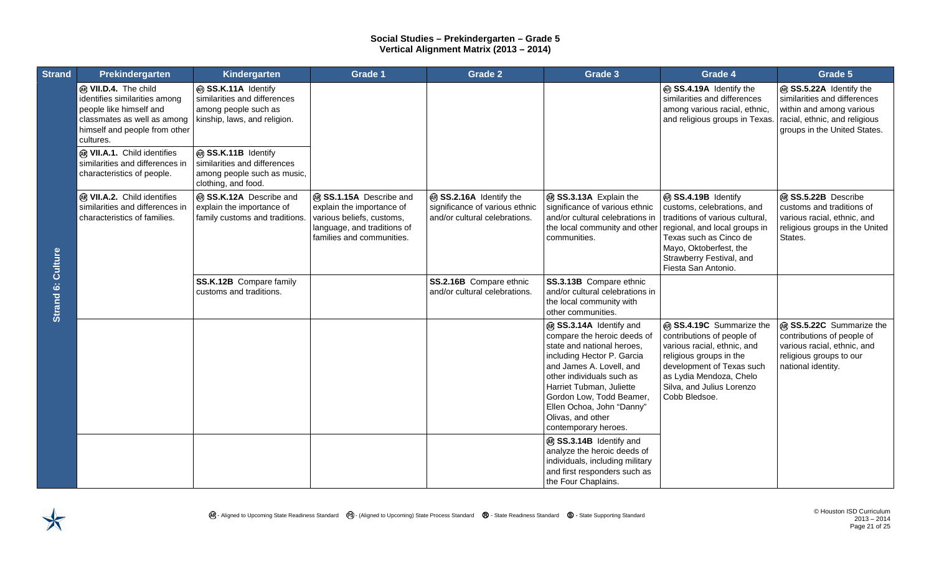| <b>Strand</b>     | Prekindergarten                                                                                                                                               | Kindergarten                                                                                                | Grade 1                                                                                                                                       | <b>Grade 2</b>                                                                             | Grade 3                                                                                                                                                                                                                                                                                                       | Grade 4                                                                                                                                                                                                                      | Grade 5                                                                                                                                              |
|-------------------|---------------------------------------------------------------------------------------------------------------------------------------------------------------|-------------------------------------------------------------------------------------------------------------|-----------------------------------------------------------------------------------------------------------------------------------------------|--------------------------------------------------------------------------------------------|---------------------------------------------------------------------------------------------------------------------------------------------------------------------------------------------------------------------------------------------------------------------------------------------------------------|------------------------------------------------------------------------------------------------------------------------------------------------------------------------------------------------------------------------------|------------------------------------------------------------------------------------------------------------------------------------------------------|
|                   | @ VII.D.4. The child<br>identifies similarities among<br>people like himself and<br>classmates as well as among<br>himself and people from other<br>cultures. | @ SS.K.11A Identify<br>similarities and differences<br>among people such as<br>kinship, laws, and religion. |                                                                                                                                               |                                                                                            |                                                                                                                                                                                                                                                                                                               | @ SS.4.19A Identify the<br>similarities and differences<br>among various racial, ethnic,<br>and religious groups in Texas                                                                                                    | @ SS.5.22A Identify the<br>similarities and differences<br>within and among various<br>racial, ethnic, and religious<br>groups in the United States. |
|                   | @ VII.A.1. Child identifies<br>similarities and differences in<br>characteristics of people.                                                                  | @ SS.K.11B Identify<br>similarities and differences<br>among people such as music,<br>clothing, and food.   |                                                                                                                                               |                                                                                            |                                                                                                                                                                                                                                                                                                               |                                                                                                                                                                                                                              |                                                                                                                                                      |
|                   | @ VII.A.2. Child identifies<br>similarities and differences in<br>characteristics of families.                                                                | @ SS.K.12A Describe and<br>explain the importance of<br>family customs and traditions.                      | ® SS.1.15A Describe and<br>explain the importance of<br>various beliefs, customs,<br>language, and traditions of<br>families and communities. | ® SS.2.16A Identify the<br>significance of various ethnic<br>and/or cultural celebrations. | ® SS.3.13A Explain the<br>significance of various ethnic<br>and/or cultural celebrations in<br>the local community and other<br>communities.                                                                                                                                                                  | ® SS.4.19B Identify<br>customs, celebrations, and<br>traditions of various cultural,<br>regional, and local groups in<br>Texas such as Cinco de<br>Mayo, Oktoberfest, the<br>Strawberry Festival, and<br>Fiesta San Antonio. | @ SS.5.22B Describe<br>customs and traditions of<br>various racial, ethnic, and<br>religious groups in the United<br>States.                         |
| Strand 6: Culture |                                                                                                                                                               | SS.K.12B Compare family<br>customs and traditions.                                                          |                                                                                                                                               | SS.2.16B Compare ethnic<br>and/or cultural celebrations.                                   | SS.3.13B Compare ethnic<br>and/or cultural celebrations in<br>the local community with<br>other communities.                                                                                                                                                                                                  |                                                                                                                                                                                                                              |                                                                                                                                                      |
|                   |                                                                                                                                                               |                                                                                                             |                                                                                                                                               |                                                                                            | @ SS.3.14A Identify and<br>compare the heroic deeds of<br>state and national heroes,<br>including Hector P. Garcia<br>and James A. Lovell, and<br>other individuals such as<br>Harriet Tubman, Juliette<br>Gordon Low, Todd Beamer,<br>Ellen Ochoa, John "Danny"<br>Olivas, and other<br>contemporary heroes. | @ SS.4.19C Summarize the<br>contributions of people of<br>various racial, ethnic, and<br>religious groups in the<br>development of Texas such<br>as Lydia Mendoza, Chelo<br>Silva, and Julius Lorenzo<br>Cobb Bledsoe.       | @ SS.5.22C Summarize the<br>contributions of people of<br>various racial, ethnic, and<br>religious groups to our<br>national identity.               |
|                   |                                                                                                                                                               |                                                                                                             |                                                                                                                                               |                                                                                            | ® SS.3.14B Identify and<br>analyze the heroic deeds of<br>individuals, including military<br>and first responders such as<br>the Four Chaplains.                                                                                                                                                              |                                                                                                                                                                                                                              |                                                                                                                                                      |

 $\bigstar$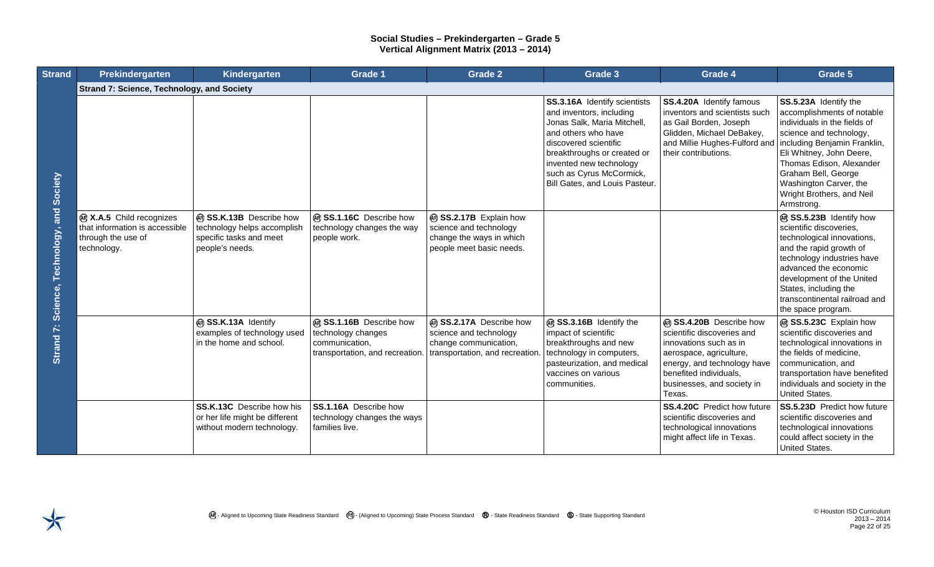| <b>Strand</b>                                 | Prekindergarten                                                                                        | Kindergarten                                                                                         | <b>Grade 1</b>                                                                                                                    | <b>Grade 2</b>                                                                                           | Grade 3                                                                                                                                                                                                                                                         | Grade 4                                                                                                                                                                                                     | Grade 5                                                                                                                                                                                                                                                                         |
|-----------------------------------------------|--------------------------------------------------------------------------------------------------------|------------------------------------------------------------------------------------------------------|-----------------------------------------------------------------------------------------------------------------------------------|----------------------------------------------------------------------------------------------------------|-----------------------------------------------------------------------------------------------------------------------------------------------------------------------------------------------------------------------------------------------------------------|-------------------------------------------------------------------------------------------------------------------------------------------------------------------------------------------------------------|---------------------------------------------------------------------------------------------------------------------------------------------------------------------------------------------------------------------------------------------------------------------------------|
| Science, Technology, and Society<br>Strand 7: | <b>Strand 7: Science, Technology, and Society</b>                                                      |                                                                                                      |                                                                                                                                   |                                                                                                          |                                                                                                                                                                                                                                                                 |                                                                                                                                                                                                             |                                                                                                                                                                                                                                                                                 |
|                                               |                                                                                                        |                                                                                                      |                                                                                                                                   |                                                                                                          | SS.3.16A Identify scientists<br>and inventors, including<br>Jonas Salk, Maria Mitchell,<br>and others who have<br>discovered scientific<br>breakthroughs or created or<br>invented new technology<br>such as Cyrus McCormick,<br>Bill Gates, and Louis Pasteur. | SS.4.20A Identify famous<br>inventors and scientists such<br>as Gail Borden, Joseph<br>Glidden, Michael DeBakey,<br>and Millie Hughes-Fulford and   including Benjamin Franklin,<br>their contributions.    | SS.5.23A Identify the<br>accomplishments of notable<br>individuals in the fields of<br>science and technology,<br>Eli Whitney, John Deere,<br>Thomas Edison, Alexander<br>Graham Bell, George<br>Washington Carver, the<br>Wright Brothers, and Neil<br>Armstrong.              |
|                                               | <b>@ X.A.5</b> Child recognizes<br>that information is accessible<br>through the use of<br>technology. | @ SS.K.13B Describe how<br>technology helps accomplish<br>specific tasks and meet<br>people's needs. | ® SS.1.16C Describe how<br>technology changes the way<br>people work.                                                             | ® SS.2.17B Explain how<br>science and technology<br>change the ways in which<br>people meet basic needs. |                                                                                                                                                                                                                                                                 |                                                                                                                                                                                                             | @ SS.5.23B Identify how<br>scientific discoveries,<br>technological innovations,<br>and the rapid growth of<br>technology industries have<br>advanced the economic<br>development of the United<br>States, including the<br>transcontinental railroad and<br>the space program. |
|                                               |                                                                                                        | @ SS.K.13A Identify<br>examples of technology used<br>in the home and school.                        | ® SS.1.16B Describe how<br>technology changes<br>communication,<br>transportation, and recreation. transportation, and recreation | ® SS.2.17A Describe how<br>science and technology<br>change communication,                               | @ SS.3.16B Identify the<br>impact of scientific<br>breakthroughs and new<br>technology in computers,<br>pasteurization, and medical<br>vaccines on various<br>communities.                                                                                      | ® SS.4.20B Describe how<br>scientific discoveries and<br>innovations such as in<br>aerospace, agriculture,<br>energy, and technology have<br>benefited individuals,<br>businesses, and society in<br>Texas. | @ SS.5.23C Explain how<br>scientific discoveries and<br>technological innovations in<br>the fields of medicine,<br>communication, and<br>transportation have benefited<br>individuals and society in the<br>United States.                                                      |
|                                               |                                                                                                        | SS.K.13C Describe how his<br>or her life might be different<br>without modern technology.            | SS.1.16A Describe how<br>technology changes the ways<br>families live.                                                            |                                                                                                          |                                                                                                                                                                                                                                                                 | SS.4.20C Predict how future<br>l scientific discoveries and<br>technological innovations<br>might affect life in Texas.                                                                                     | SS.5.23D Predict how future<br>scientific discoveries and<br>technological innovations<br>could affect society in the<br>United States.                                                                                                                                         |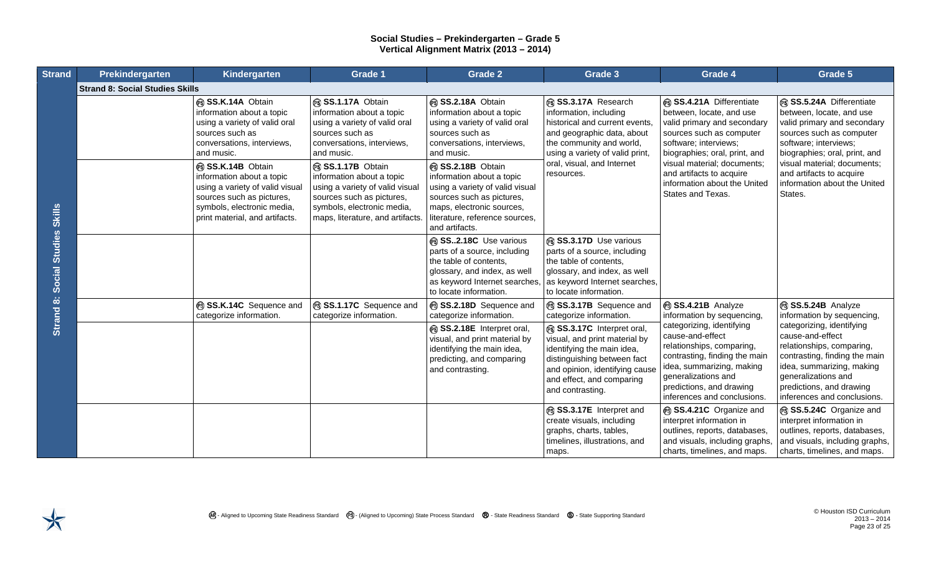| <b>Strand</b>         | Prekindergarten                        | Kindergarten                                                                                                                                                                   | <b>Grade 1</b>                                                                                                                                                                   | <b>Grade 2</b>                                                                                                                                                                                  | Grade 3                                                                                                                                                                                                   | Grade 4                                                                                                                                                                                                                    | Grade 5                                                                                                                                                                                                                                                                       |
|-----------------------|----------------------------------------|--------------------------------------------------------------------------------------------------------------------------------------------------------------------------------|----------------------------------------------------------------------------------------------------------------------------------------------------------------------------------|-------------------------------------------------------------------------------------------------------------------------------------------------------------------------------------------------|-----------------------------------------------------------------------------------------------------------------------------------------------------------------------------------------------------------|----------------------------------------------------------------------------------------------------------------------------------------------------------------------------------------------------------------------------|-------------------------------------------------------------------------------------------------------------------------------------------------------------------------------------------------------------------------------------------------------------------------------|
|                       | <b>Strand 8: Social Studies Skills</b> |                                                                                                                                                                                |                                                                                                                                                                                  |                                                                                                                                                                                                 |                                                                                                                                                                                                           |                                                                                                                                                                                                                            |                                                                                                                                                                                                                                                                               |
| Social Studies Skills |                                        | ® SS.K.14A Obtain<br>information about a topic<br>using a variety of valid oral<br>sources such as<br>conversations, interviews,<br>and music.                                 | SS.1.17A Obtain<br>information about a topic<br>using a variety of valid oral<br>sources such as<br>conversations, interviews,<br>and music.                                     | SS.2.18A Obtain<br>information about a topic<br>using a variety of valid oral<br>sources such as<br>conversations, interviews,<br>and music.                                                    | SS.3.17A Research<br>information, including<br>historical and current events,<br>and geographic data, about<br>the community and world,<br>using a variety of valid print,                                | SS.4.21A Differentiate<br>between, locate, and use<br>valid primary and secondary<br>sources such as computer<br>software; interviews;<br>biographies; oral, print, and                                                    | SS.5.24A Differentiate<br>between, locate, and use<br>valid primary and secondary<br>sources such as computer<br>software; interviews;<br>biographies; oral, print, and<br>visual material; documents;<br>and artifacts to acquire<br>information about the United<br>States. |
|                       |                                        | ® SS.K.14B Obtain<br>information about a topic<br>using a variety of valid visual<br>sources such as pictures,<br>symbols, electronic media,<br>print material, and artifacts. | ® SS.1.17B Obtain<br>information about a topic<br>using a variety of valid visual<br>sources such as pictures,<br>symbols, electronic media,<br>maps, literature, and artifacts. | ® SS.2.18B Obtain<br>information about a topic<br>using a variety of valid visual<br>sources such as pictures,<br>maps, electronic sources,<br>literature, reference sources,<br>and artifacts. | oral, visual, and Internet<br>resources.                                                                                                                                                                  | visual material; documents;<br>and artifacts to acquire<br>information about the United<br>States and Texas.                                                                                                               |                                                                                                                                                                                                                                                                               |
|                       |                                        |                                                                                                                                                                                |                                                                                                                                                                                  | SS2.18C Use various<br>parts of a source, including<br>the table of contents.<br>glossary, and index, as well<br>as keyword Internet searches,<br>to locate information.                        | SS.3.17D Use various<br>parts of a source, including<br>the table of contents.<br>glossary, and index, as well<br>as keyword Internet searches,<br>to locate information.                                 |                                                                                                                                                                                                                            |                                                                                                                                                                                                                                                                               |
| Strand 8:             |                                        | SS.K.14C Sequence and<br>categorize information.                                                                                                                               | SS.1.17C Sequence and<br>categorize information.                                                                                                                                 | SS.2.18D Sequence and<br>categorize information.                                                                                                                                                | SS.3.17B Sequence and<br>categorize information.                                                                                                                                                          | SS.4.21B Analyze<br>information by sequencing,                                                                                                                                                                             | SS.5.24B Analyze<br>information by sequencing,                                                                                                                                                                                                                                |
|                       |                                        |                                                                                                                                                                                |                                                                                                                                                                                  | SS.2.18E Interpret oral,<br>visual, and print material by<br>identifying the main idea,<br>predicting, and comparing<br>and contrasting.                                                        | SS.3.17C Interpret oral,<br>visual, and print material by<br>identifying the main idea,<br>distinguishing between fact<br>and opinion, identifying cause<br>and effect, and comparing<br>and contrasting. | categorizing, identifying<br>cause-and-effect<br>relationships, comparing,<br>contrasting, finding the main<br>idea, summarizing, making<br>generalizations and<br>predictions, and drawing<br>inferences and conclusions. | categorizing, identifying<br>cause-and-effect<br>relationships, comparing,<br>contrasting, finding the main<br>idea, summarizing, making<br>generalizations and<br>predictions, and drawing<br>inferences and conclusions.                                                    |
|                       |                                        |                                                                                                                                                                                |                                                                                                                                                                                  |                                                                                                                                                                                                 | SS.3.17E Interpret and<br>create visuals, including<br>graphs, charts, tables,<br>timelines, illustrations, and<br>maps.                                                                                  | SS.4.21C Organize and<br>interpret information in<br>outlines, reports, databases,<br>and visuals, including graphs,<br>charts, timelines, and maps.                                                                       | SS.5.24C Organize and<br>interpret information in<br>outlines, reports, databases,<br>and visuals, including graphs,<br>charts, timelines, and maps.                                                                                                                          |

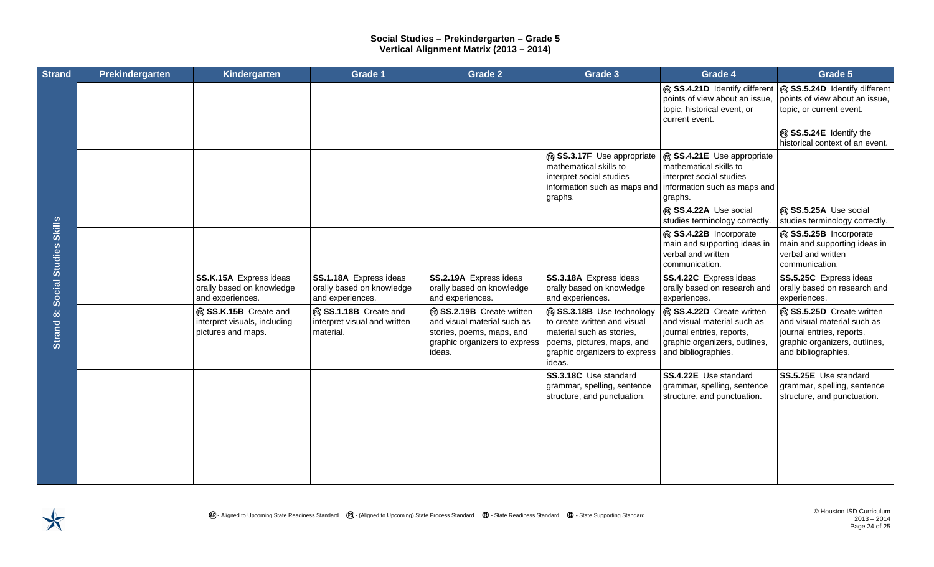| <b>Strand</b>         | Prekindergarten | Kindergarten                                                              | Grade 1                                                                 | <b>Grade 2</b>                                                                                                                 | Grade 3                                                                                                                                                       | Grade 4                                                                                                                                     | Grade 5                                                                                                                                     |
|-----------------------|-----------------|---------------------------------------------------------------------------|-------------------------------------------------------------------------|--------------------------------------------------------------------------------------------------------------------------------|---------------------------------------------------------------------------------------------------------------------------------------------------------------|---------------------------------------------------------------------------------------------------------------------------------------------|---------------------------------------------------------------------------------------------------------------------------------------------|
|                       |                 |                                                                           |                                                                         |                                                                                                                                |                                                                                                                                                               | SS.4.21D Identify different<br>points of view about an issue.<br>topic, historical event, or<br>current event.                              | SS.5.24D Identify different<br>points of view about an issue.<br>topic, or current event.                                                   |
|                       |                 |                                                                           |                                                                         |                                                                                                                                |                                                                                                                                                               |                                                                                                                                             | SS.5.24E Identify the<br>historical context of an event.                                                                                    |
|                       |                 |                                                                           |                                                                         |                                                                                                                                | SS.3.17F Use appropriate<br>mathematical skills to<br>interpret social studies<br>information such as maps and<br>graphs.                                     | SS.4.21E Use appropriate<br>mathematical skills to<br>interpret social studies<br>information such as maps and<br>graphs.                   |                                                                                                                                             |
|                       |                 |                                                                           |                                                                         |                                                                                                                                |                                                                                                                                                               | SS.4.22A Use social<br>studies terminology correctly.                                                                                       | SS.5.25A Use social<br>studies terminology correctly.                                                                                       |
| <b>Skills</b>         |                 |                                                                           |                                                                         |                                                                                                                                |                                                                                                                                                               | SS.4.22B Incorporate<br>main and supporting ideas in<br>verbal and written<br>communication.                                                | SS.5.25B Incorporate<br>main and supporting ideas in<br>verbal and written<br>communication.                                                |
| <b>Social Studies</b> |                 | SS.K.15A Express ideas<br>orally based on knowledge<br>and experiences.   | SS.1.18A Express ideas<br>orally based on knowledge<br>and experiences. | SS.2.19A Express ideas<br>orally based on knowledge<br>and experiences.                                                        | SS.3.18A Express ideas<br>orally based on knowledge<br>and experiences.                                                                                       | SS.4.22C Express ideas<br>orally based on research and<br>experiences.                                                                      | SS.5.25C Express ideas<br>orally based on research and<br>experiences.                                                                      |
| Strand 8:             |                 | SS.K.15B Create and<br>interpret visuals, including<br>pictures and maps. | SS.1.18B Create and<br>interpret visual and written<br>material.        | SS.2.19B Create written<br>and visual material such as<br>stories, poems, maps, and<br>graphic organizers to express<br>ideas. | SS.3.18B Use technology<br>to create written and visual<br>material such as stories,<br>poems, pictures, maps, and<br>graphic organizers to express<br>ideas. | SS.4.22D Create written<br>and visual material such as<br>journal entries, reports,<br>graphic organizers, outlines,<br>and bibliographies. | SS.5.25D Create written<br>and visual material such as<br>journal entries, reports,<br>graphic organizers, outlines,<br>and bibliographies. |
|                       |                 |                                                                           |                                                                         |                                                                                                                                | SS.3.18C Use standard<br>grammar, spelling, sentence<br>structure, and punctuation.                                                                           | SS.4.22E Use standard<br>grammar, spelling, sentence<br>structure, and punctuation.                                                         | SS.5.25E Use standard<br>grammar, spelling, sentence<br>structure, and punctuation.                                                         |
|                       |                 |                                                                           |                                                                         |                                                                                                                                |                                                                                                                                                               |                                                                                                                                             |                                                                                                                                             |